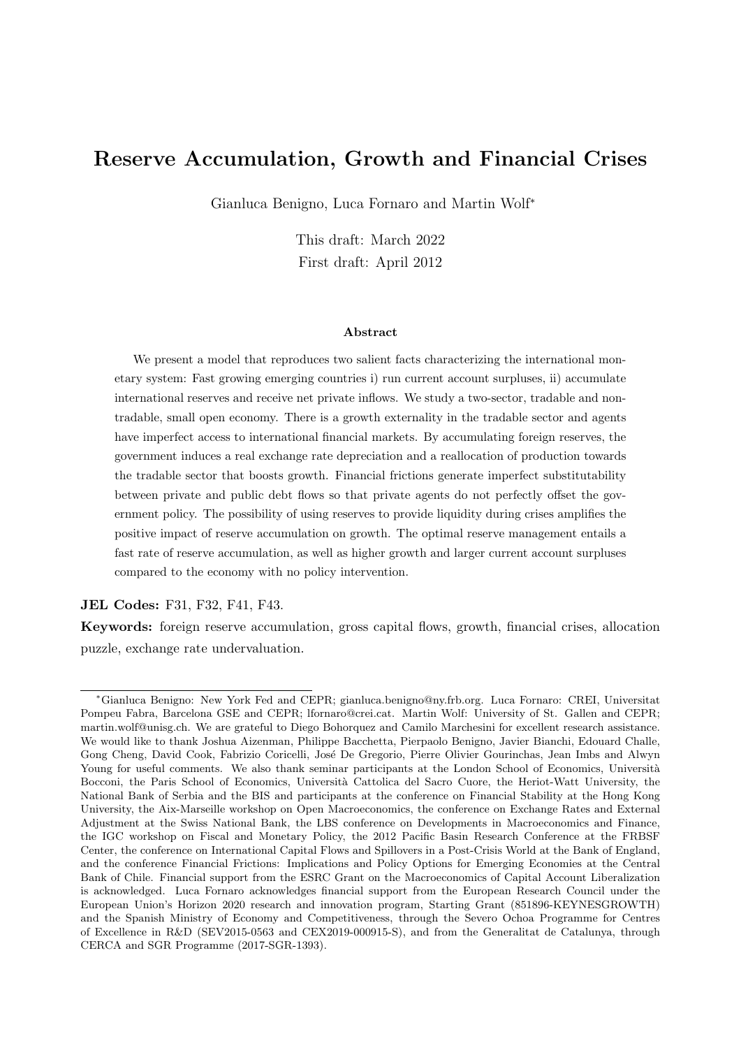## Reserve Accumulation, Growth and Financial Crises

Gianluca Benigno, Luca Fornaro and Martin Wolf<sup>∗</sup>

This draft: March 2022 First draft: April 2012

#### Abstract

We present a model that reproduces two salient facts characterizing the international monetary system: Fast growing emerging countries i) run current account surpluses, ii) accumulate international reserves and receive net private inflows. We study a two-sector, tradable and nontradable, small open economy. There is a growth externality in the tradable sector and agents have imperfect access to international financial markets. By accumulating foreign reserves, the government induces a real exchange rate depreciation and a reallocation of production towards the tradable sector that boosts growth. Financial frictions generate imperfect substitutability between private and public debt flows so that private agents do not perfectly offset the government policy. The possibility of using reserves to provide liquidity during crises amplifies the positive impact of reserve accumulation on growth. The optimal reserve management entails a fast rate of reserve accumulation, as well as higher growth and larger current account surpluses compared to the economy with no policy intervention.

JEL Codes: F31, F32, F41, F43.

Keywords: foreign reserve accumulation, gross capital flows, growth, financial crises, allocation puzzle, exchange rate undervaluation.

<sup>∗</sup>Gianluca Benigno: New York Fed and CEPR; gianluca.benigno@ny.frb.org. Luca Fornaro: CREI, Universitat Pompeu Fabra, Barcelona GSE and CEPR; lfornaro@crei.cat. Martin Wolf: University of St. Gallen and CEPR; martin.wolf@unisg.ch. We are grateful to Diego Bohorquez and Camilo Marchesini for excellent research assistance. We would like to thank Joshua Aizenman, Philippe Bacchetta, Pierpaolo Benigno, Javier Bianchi, Edouard Challe, Gong Cheng, David Cook, Fabrizio Coricelli, José De Gregorio, Pierre Olivier Gourinchas, Jean Imbs and Alwyn Young for useful comments. We also thank seminar participants at the London School of Economics, Università Bocconi, the Paris School of Economics, Università Cattolica del Sacro Cuore, the Heriot-Watt University, the National Bank of Serbia and the BIS and participants at the conference on Financial Stability at the Hong Kong University, the Aix-Marseille workshop on Open Macroeconomics, the conference on Exchange Rates and External Adjustment at the Swiss National Bank, the LBS conference on Developments in Macroeconomics and Finance, the IGC workshop on Fiscal and Monetary Policy, the 2012 Pacific Basin Research Conference at the FRBSF Center, the conference on International Capital Flows and Spillovers in a Post-Crisis World at the Bank of England, and the conference Financial Frictions: Implications and Policy Options for Emerging Economies at the Central Bank of Chile. Financial support from the ESRC Grant on the Macroeconomics of Capital Account Liberalization is acknowledged. Luca Fornaro acknowledges financial support from the European Research Council under the European Union's Horizon 2020 research and innovation program, Starting Grant (851896-KEYNESGROWTH) and the Spanish Ministry of Economy and Competitiveness, through the Severo Ochoa Programme for Centres of Excellence in R&D (SEV2015-0563 and CEX2019-000915-S), and from the Generalitat de Catalunya, through CERCA and SGR Programme (2017-SGR-1393).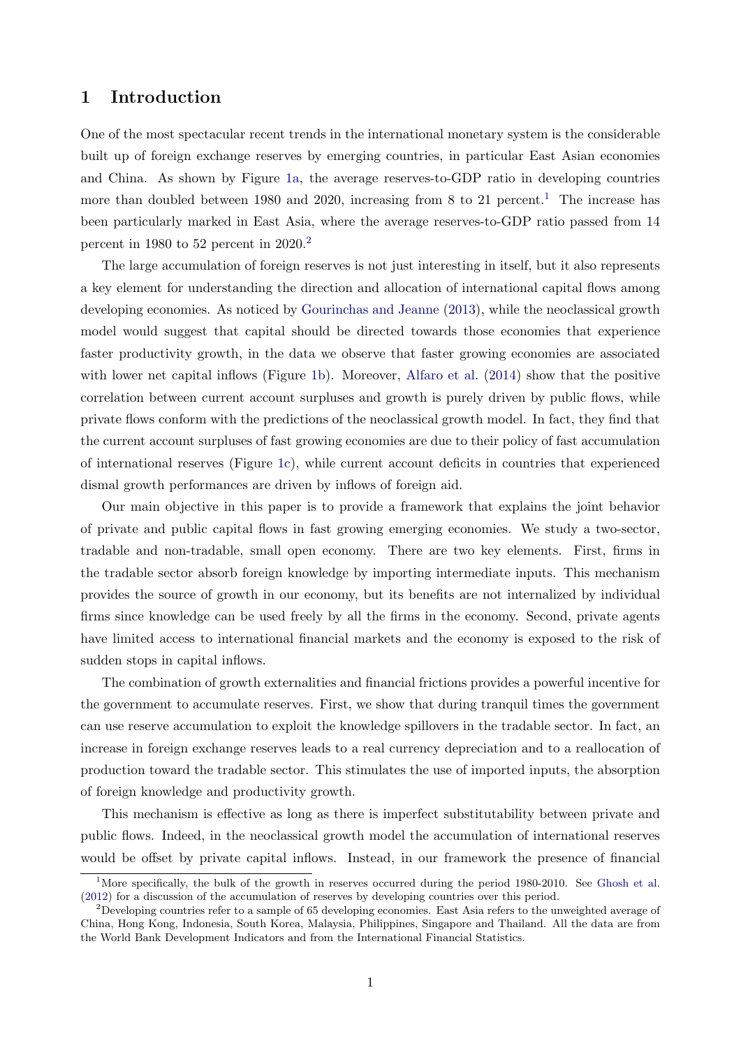## 1 Introduction

One of the most spectacular recent trends in the international monetary system is the considerable built up of foreign exchange reserves by emerging countries, in particular East Asian economies and China. As shown by Figure [1a,](#page-2-0) the average reserves-to-GDP ratio in developing countries more than doubled between [1](#page-1-0)980 and 2020, increasing from 8 to 21 percent.<sup>1</sup> The increase has been particularly marked in East Asia, where the average reserves-to-GDP ratio passed from 14 percent in 1980 to 52 percent in 2020.[2](#page-1-1)

The large accumulation of foreign reserves is not just interesting in itself, but it also represents a key element for understanding the direction and allocation of international capital flows among developing economies. As noticed by [Gourinchas and Jeanne](#page-29-0) [\(2013\)](#page-29-0), while the neoclassical growth model would suggest that capital should be directed towards those economies that experience faster productivity growth, in the data we observe that faster growing economies are associated with lower net capital inflows (Figure [1b\)](#page-2-1). Moreover, [Alfaro et al.](#page-27-0) [\(2014\)](#page-27-0) show that the positive correlation between current account surpluses and growth is purely driven by public flows, while private flows conform with the predictions of the neoclassical growth model. In fact, they find that the current account surpluses of fast growing economies are due to their policy of fast accumulation of international reserves (Figure [1c\)](#page-2-2), while current account deficits in countries that experienced dismal growth performances are driven by inflows of foreign aid.

Our main objective in this paper is to provide a framework that explains the joint behavior of private and public capital flows in fast growing emerging economies. We study a two-sector, tradable and non-tradable, small open economy. There are two key elements. First, firms in the tradable sector absorb foreign knowledge by importing intermediate inputs. This mechanism provides the source of growth in our economy, but its benefits are not internalized by individual firms since knowledge can be used freely by all the firms in the economy. Second, private agents have limited access to international financial markets and the economy is exposed to the risk of sudden stops in capital inflows.

The combination of growth externalities and financial frictions provides a powerful incentive for the government to accumulate reserves. First, we show that during tranquil times the government can use reserve accumulation to exploit the knowledge spillovers in the tradable sector. In fact, an increase in foreign exchange reserves leads to a real currency depreciation and to a reallocation of production toward the tradable sector. This stimulates the use of imported inputs, the absorption of foreign knowledge and productivity growth.

This mechanism is effective as long as there is imperfect substitutability between private and public flows. Indeed, in the neoclassical growth model the accumulation of international reserves would be offset by private capital inflows. Instead, in our framework the presence of financial

<span id="page-1-0"></span><sup>&</sup>lt;sup>1</sup>More specifically, the bulk of the growth in reserves occurred during the period 1980-2010. See [Ghosh et al.](#page-28-0) [\(2012\)](#page-28-0) for a discussion of the accumulation of reserves by developing countries over this period.

<span id="page-1-1"></span><sup>&</sup>lt;sup>2</sup>Developing countries refer to a sample of 65 developing economies. East Asia refers to the unweighted average of China, Hong Kong, Indonesia, South Korea, Malaysia, Philippines, Singapore and Thailand. All the data are from the World Bank Development Indicators and from the International Financial Statistics.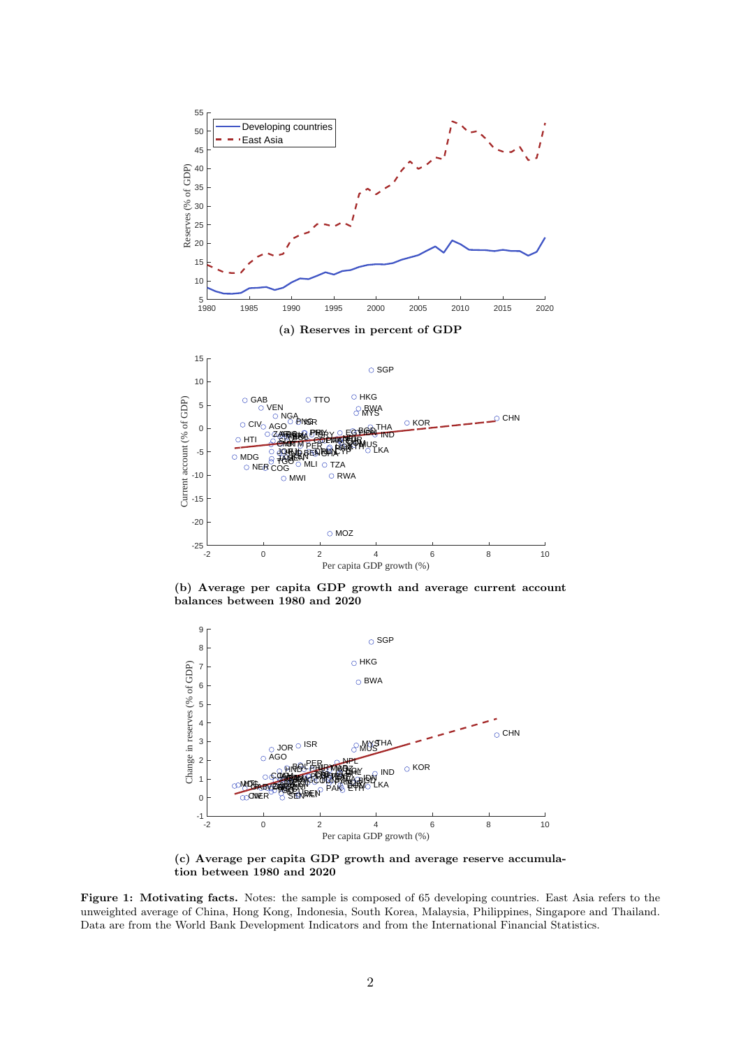<span id="page-2-1"></span><span id="page-2-0"></span>

(b) Average per capita GDP growth and average current account balances between 1980 and 2020

<span id="page-2-2"></span>

(c) Average per capita GDP growth and average reserve accumulation between 1980 and 2020

Figure 1: Motivating facts. Notes: the sample is composed of 65 developing countries. East Asia refers to the unweighted average of China, Hong Kong, Indonesia, South Korea, Malaysia, Philippines, Singapore and Thailand. Data are from the World Bank Development Indicators and from the International Financial Statistics.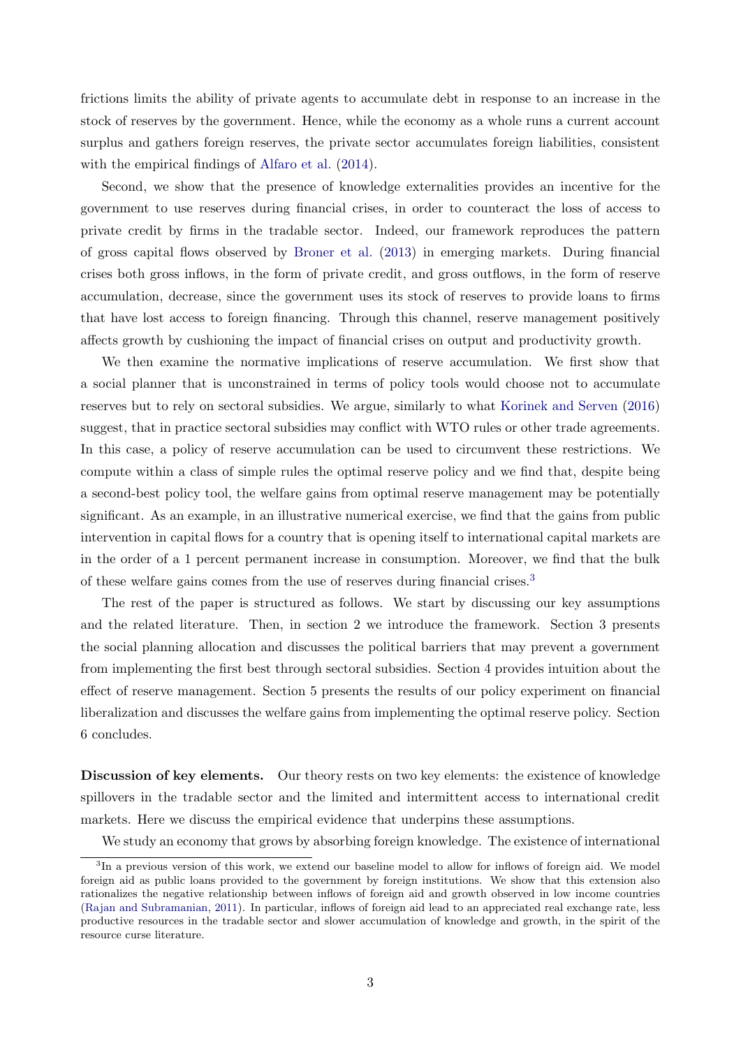frictions limits the ability of private agents to accumulate debt in response to an increase in the stock of reserves by the government. Hence, while the economy as a whole runs a current account surplus and gathers foreign reserves, the private sector accumulates foreign liabilities, consistent with the empirical findings of [Alfaro et al.](#page-27-0) [\(2014\)](#page-27-0).

Second, we show that the presence of knowledge externalities provides an incentive for the government to use reserves during financial crises, in order to counteract the loss of access to private credit by firms in the tradable sector. Indeed, our framework reproduces the pattern of gross capital flows observed by [Broner et al.](#page-28-1) [\(2013\)](#page-28-1) in emerging markets. During financial crises both gross inflows, in the form of private credit, and gross outflows, in the form of reserve accumulation, decrease, since the government uses its stock of reserves to provide loans to firms that have lost access to foreign financing. Through this channel, reserve management positively affects growth by cushioning the impact of financial crises on output and productivity growth.

We then examine the normative implications of reserve accumulation. We first show that a social planner that is unconstrained in terms of policy tools would choose not to accumulate reserves but to rely on sectoral subsidies. We argue, similarly to what [Korinek and Serven](#page-29-1) [\(2016\)](#page-29-1) suggest, that in practice sectoral subsidies may conflict with WTO rules or other trade agreements. In this case, a policy of reserve accumulation can be used to circumvent these restrictions. We compute within a class of simple rules the optimal reserve policy and we find that, despite being a second-best policy tool, the welfare gains from optimal reserve management may be potentially significant. As an example, in an illustrative numerical exercise, we find that the gains from public intervention in capital flows for a country that is opening itself to international capital markets are in the order of a 1 percent permanent increase in consumption. Moreover, we find that the bulk of these welfare gains comes from the use of reserves during financial crises.[3](#page-3-0)

The rest of the paper is structured as follows. We start by discussing our key assumptions and the related literature. Then, in section 2 we introduce the framework. Section 3 presents the social planning allocation and discusses the political barriers that may prevent a government from implementing the first best through sectoral subsidies. Section 4 provides intuition about the effect of reserve management. Section 5 presents the results of our policy experiment on financial liberalization and discusses the welfare gains from implementing the optimal reserve policy. Section 6 concludes.

Discussion of key elements. Our theory rests on two key elements: the existence of knowledge spillovers in the tradable sector and the limited and intermittent access to international credit markets. Here we discuss the empirical evidence that underpins these assumptions.

We study an economy that grows by absorbing foreign knowledge. The existence of international

<span id="page-3-0"></span><sup>&</sup>lt;sup>3</sup>In a previous version of this work, we extend our baseline model to allow for inflows of foreign aid. We model foreign aid as public loans provided to the government by foreign institutions. We show that this extension also rationalizes the negative relationship between inflows of foreign aid and growth observed in low income countries [\(Rajan and Subramanian,](#page-29-2) [2011\)](#page-29-2). In particular, inflows of foreign aid lead to an appreciated real exchange rate, less productive resources in the tradable sector and slower accumulation of knowledge and growth, in the spirit of the resource curse literature.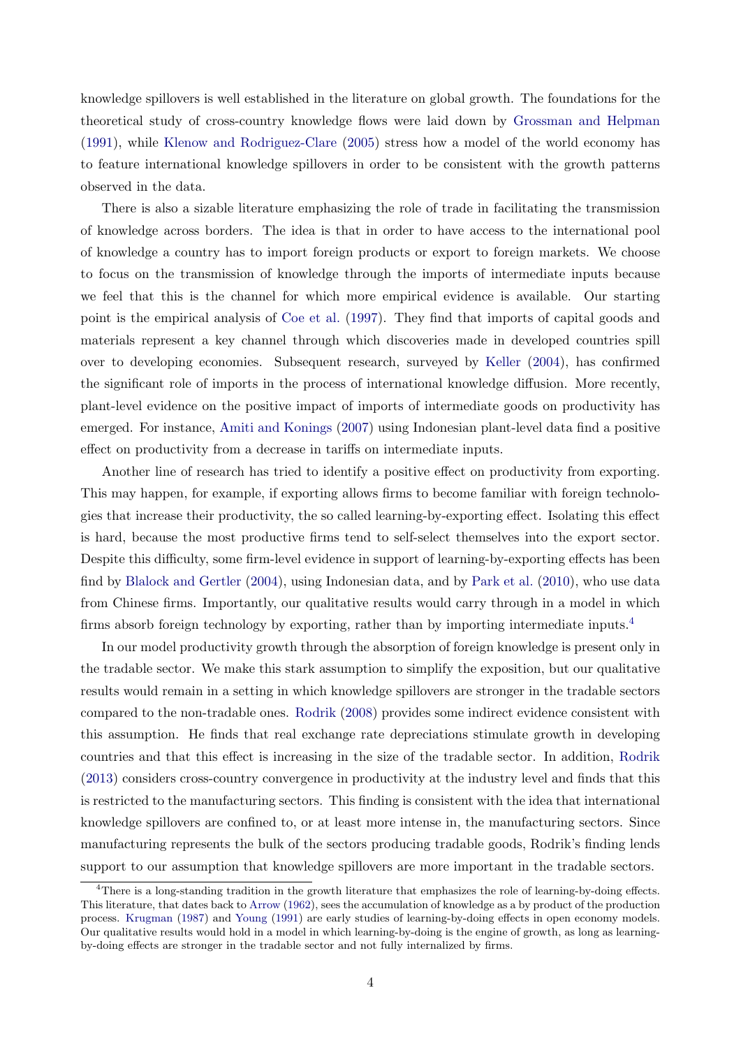knowledge spillovers is well established in the literature on global growth. The foundations for the theoretical study of cross-country knowledge flows were laid down by [Grossman and Helpman](#page-29-3) [\(1991\)](#page-29-3), while [Klenow and Rodriguez-Clare](#page-29-4) [\(2005\)](#page-29-4) stress how a model of the world economy has to feature international knowledge spillovers in order to be consistent with the growth patterns observed in the data.

There is also a sizable literature emphasizing the role of trade in facilitating the transmission of knowledge across borders. The idea is that in order to have access to the international pool of knowledge a country has to import foreign products or export to foreign markets. We choose to focus on the transmission of knowledge through the imports of intermediate inputs because we feel that this is the channel for which more empirical evidence is available. Our starting point is the empirical analysis of [Coe et al.](#page-28-2) [\(1997\)](#page-28-2). They find that imports of capital goods and materials represent a key channel through which discoveries made in developed countries spill over to developing economies. Subsequent research, surveyed by [Keller](#page-29-5) [\(2004\)](#page-29-5), has confirmed the significant role of imports in the process of international knowledge diffusion. More recently, plant-level evidence on the positive impact of imports of intermediate goods on productivity has emerged. For instance, [Amiti and Konings](#page-27-1) [\(2007\)](#page-27-1) using Indonesian plant-level data find a positive effect on productivity from a decrease in tariffs on intermediate inputs.

Another line of research has tried to identify a positive effect on productivity from exporting. This may happen, for example, if exporting allows firms to become familiar with foreign technologies that increase their productivity, the so called learning-by-exporting effect. Isolating this effect is hard, because the most productive firms tend to self-select themselves into the export sector. Despite this difficulty, some firm-level evidence in support of learning-by-exporting effects has been find by [Blalock and Gertler](#page-28-3) [\(2004\)](#page-28-3), using Indonesian data, and by [Park et al.](#page-29-6) [\(2010\)](#page-29-6), who use data from Chinese firms. Importantly, our qualitative results would carry through in a model in which firms absorb foreign technology by exporting, rather than by importing intermediate inputs.<sup>[4](#page-4-0)</sup>

In our model productivity growth through the absorption of foreign knowledge is present only in the tradable sector. We make this stark assumption to simplify the exposition, but our qualitative results would remain in a setting in which knowledge spillovers are stronger in the tradable sectors compared to the non-tradable ones. [Rodrik](#page-30-0) [\(2008\)](#page-30-0) provides some indirect evidence consistent with this assumption. He finds that real exchange rate depreciations stimulate growth in developing countries and that this effect is increasing in the size of the tradable sector. In addition, [Rodrik](#page-30-1) [\(2013\)](#page-30-1) considers cross-country convergence in productivity at the industry level and finds that this is restricted to the manufacturing sectors. This finding is consistent with the idea that international knowledge spillovers are confined to, or at least more intense in, the manufacturing sectors. Since manufacturing represents the bulk of the sectors producing tradable goods, Rodrik's finding lends support to our assumption that knowledge spillovers are more important in the tradable sectors.

<span id="page-4-0"></span><sup>4</sup>There is a long-standing tradition in the growth literature that emphasizes the role of learning-by-doing effects. This literature, that dates back to [Arrow](#page-27-2) [\(1962\)](#page-27-2), sees the accumulation of knowledge as a by product of the production process. [Krugman](#page-29-7) [\(1987\)](#page-29-7) and [Young](#page-30-2) [\(1991\)](#page-30-2) are early studies of learning-by-doing effects in open economy models. Our qualitative results would hold in a model in which learning-by-doing is the engine of growth, as long as learningby-doing effects are stronger in the tradable sector and not fully internalized by firms.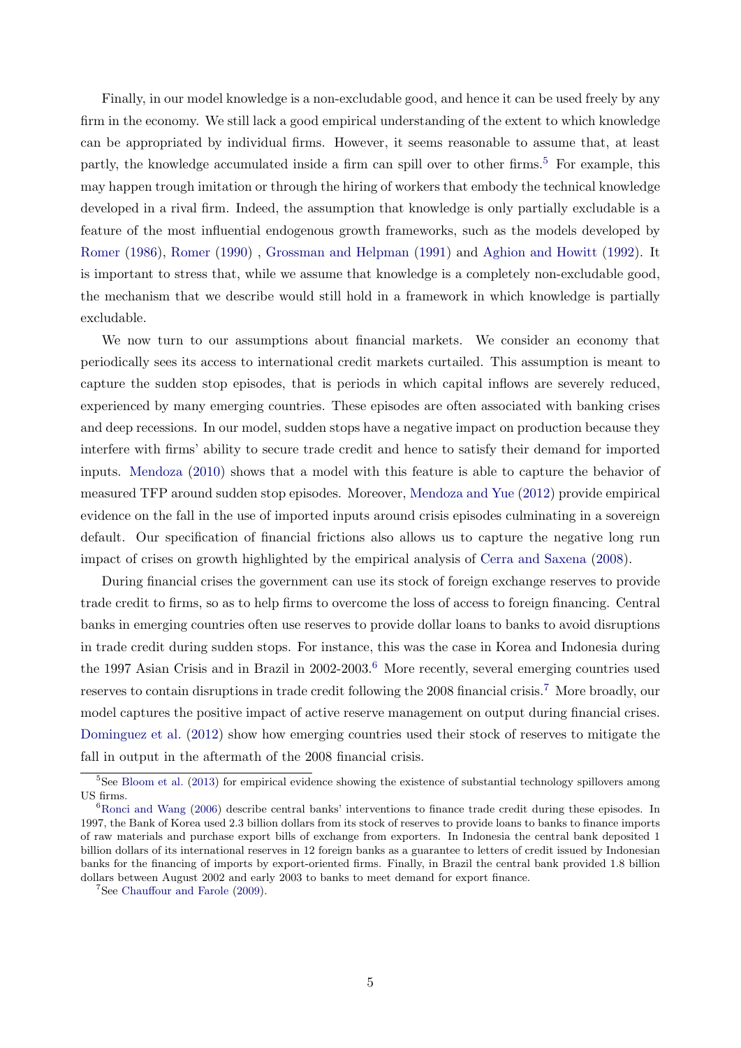Finally, in our model knowledge is a non-excludable good, and hence it can be used freely by any firm in the economy. We still lack a good empirical understanding of the extent to which knowledge can be appropriated by individual firms. However, it seems reasonable to assume that, at least partly, the knowledge accumulated inside a firm can spill over to other firms.<sup>[5](#page-5-0)</sup> For example, this may happen trough imitation or through the hiring of workers that embody the technical knowledge developed in a rival firm. Indeed, the assumption that knowledge is only partially excludable is a feature of the most influential endogenous growth frameworks, such as the models developed by [Romer](#page-30-3) [\(1986\)](#page-30-3), [Romer](#page-30-4) [\(1990\)](#page-30-4) , [Grossman and Helpman](#page-29-3) [\(1991\)](#page-29-3) and [Aghion and Howitt](#page-27-3) [\(1992\)](#page-27-3). It is important to stress that, while we assume that knowledge is a completely non-excludable good, the mechanism that we describe would still hold in a framework in which knowledge is partially excludable.

We now turn to our assumptions about financial markets. We consider an economy that periodically sees its access to international credit markets curtailed. This assumption is meant to capture the sudden stop episodes, that is periods in which capital inflows are severely reduced, experienced by many emerging countries. These episodes are often associated with banking crises and deep recessions. In our model, sudden stops have a negative impact on production because they interfere with firms' ability to secure trade credit and hence to satisfy their demand for imported inputs. [Mendoza](#page-29-8) [\(2010\)](#page-29-8) shows that a model with this feature is able to capture the behavior of measured TFP around sudden stop episodes. Moreover, [Mendoza and Yue](#page-29-9) [\(2012\)](#page-29-9) provide empirical evidence on the fall in the use of imported inputs around crisis episodes culminating in a sovereign default. Our specification of financial frictions also allows us to capture the negative long run impact of crises on growth highlighted by the empirical analysis of [Cerra and Saxena](#page-28-4) [\(2008\)](#page-28-4).

During financial crises the government can use its stock of foreign exchange reserves to provide trade credit to firms, so as to help firms to overcome the loss of access to foreign financing. Central banks in emerging countries often use reserves to provide dollar loans to banks to avoid disruptions in trade credit during sudden stops. For instance, this was the case in Korea and Indonesia during the 1997 Asian Crisis and in Brazil in 2002-2003.[6](#page-5-1) More recently, several emerging countries used reserves to contain disruptions in trade credit following the 2008 financial crisis.[7](#page-5-2) More broadly, our model captures the positive impact of active reserve management on output during financial crises. [Dominguez et al.](#page-28-5) [\(2012\)](#page-28-5) show how emerging countries used their stock of reserves to mitigate the fall in output in the aftermath of the 2008 financial crisis.

<span id="page-5-0"></span><sup>&</sup>lt;sup>5</sup>See [Bloom et al.](#page-28-6) [\(2013\)](#page-28-6) for empirical evidence showing the existence of substantial technology spillovers among US firms.

<span id="page-5-1"></span><sup>&</sup>lt;sup>6</sup>[Ronci and Wang](#page-30-5) [\(2006\)](#page-30-5) describe central banks' interventions to finance trade credit during these episodes. In 1997, the Bank of Korea used 2.3 billion dollars from its stock of reserves to provide loans to banks to finance imports of raw materials and purchase export bills of exchange from exporters. In Indonesia the central bank deposited 1 billion dollars of its international reserves in 12 foreign banks as a guarantee to letters of credit issued by Indonesian banks for the financing of imports by export-oriented firms. Finally, in Brazil the central bank provided 1.8 billion dollars between August 2002 and early 2003 to banks to meet demand for export finance.

<span id="page-5-2"></span><sup>7</sup>See [Chauffour and Farole](#page-28-7) [\(2009\)](#page-28-7).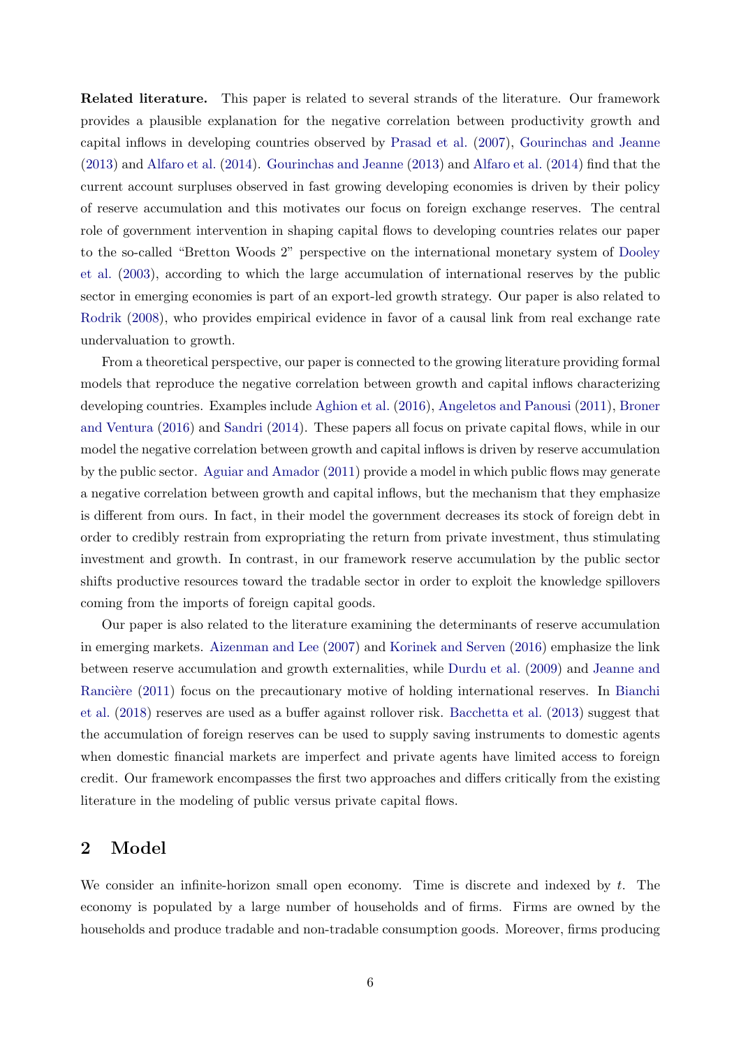Related literature. This paper is related to several strands of the literature. Our framework provides a plausible explanation for the negative correlation between productivity growth and capital inflows in developing countries observed by [Prasad et al.](#page-29-10) [\(2007\)](#page-29-10), [Gourinchas and Jeanne](#page-29-0) [\(2013\)](#page-29-0) and [Alfaro et al.](#page-27-0) [\(2014\)](#page-27-0). [Gourinchas and Jeanne](#page-29-0) [\(2013\)](#page-29-0) and [Alfaro et al.](#page-27-0) [\(2014\)](#page-27-0) find that the current account surpluses observed in fast growing developing economies is driven by their policy of reserve accumulation and this motivates our focus on foreign exchange reserves. The central role of government intervention in shaping capital flows to developing countries relates our paper to the so-called "Bretton Woods 2" perspective on the international monetary system of [Dooley](#page-28-8) [et al.](#page-28-8) [\(2003\)](#page-28-8), according to which the large accumulation of international reserves by the public sector in emerging economies is part of an export-led growth strategy. Our paper is also related to [Rodrik](#page-30-0) [\(2008\)](#page-30-0), who provides empirical evidence in favor of a causal link from real exchange rate undervaluation to growth.

From a theoretical perspective, our paper is connected to the growing literature providing formal models that reproduce the negative correlation between growth and capital inflows characterizing developing countries. Examples include [Aghion et al.](#page-27-4) [\(2016\)](#page-27-4), [Angeletos and Panousi](#page-27-5) [\(2011\)](#page-27-5), [Broner](#page-28-9) [and Ventura](#page-28-9) [\(2016\)](#page-28-9) and [Sandri](#page-30-6) [\(2014\)](#page-30-6). These papers all focus on private capital flows, while in our model the negative correlation between growth and capital inflows is driven by reserve accumulation by the public sector. [Aguiar and Amador](#page-27-6) [\(2011\)](#page-27-6) provide a model in which public flows may generate a negative correlation between growth and capital inflows, but the mechanism that they emphasize is different from ours. In fact, in their model the government decreases its stock of foreign debt in order to credibly restrain from expropriating the return from private investment, thus stimulating investment and growth. In contrast, in our framework reserve accumulation by the public sector shifts productive resources toward the tradable sector in order to exploit the knowledge spillovers coming from the imports of foreign capital goods.

Our paper is also related to the literature examining the determinants of reserve accumulation in emerging markets. [Aizenman and Lee](#page-27-7) [\(2007\)](#page-27-7) and [Korinek and Serven](#page-29-1) [\(2016\)](#page-29-1) emphasize the link between reserve accumulation and growth externalities, while [Durdu et al.](#page-28-10) [\(2009\)](#page-28-10) and [Jeanne and](#page-29-11) Rancière [\(2011\)](#page-29-11) focus on the precautionary motive of holding international reserves. In [Bianchi](#page-27-8) [et al.](#page-27-8) [\(2018\)](#page-27-8) reserves are used as a buffer against rollover risk. [Bacchetta et al.](#page-27-9) [\(2013\)](#page-27-9) suggest that the accumulation of foreign reserves can be used to supply saving instruments to domestic agents when domestic financial markets are imperfect and private agents have limited access to foreign credit. Our framework encompasses the first two approaches and differs critically from the existing literature in the modeling of public versus private capital flows.

## 2 Model

We consider an infinite-horizon small open economy. Time is discrete and indexed by  $t$ . The economy is populated by a large number of households and of firms. Firms are owned by the households and produce tradable and non-tradable consumption goods. Moreover, firms producing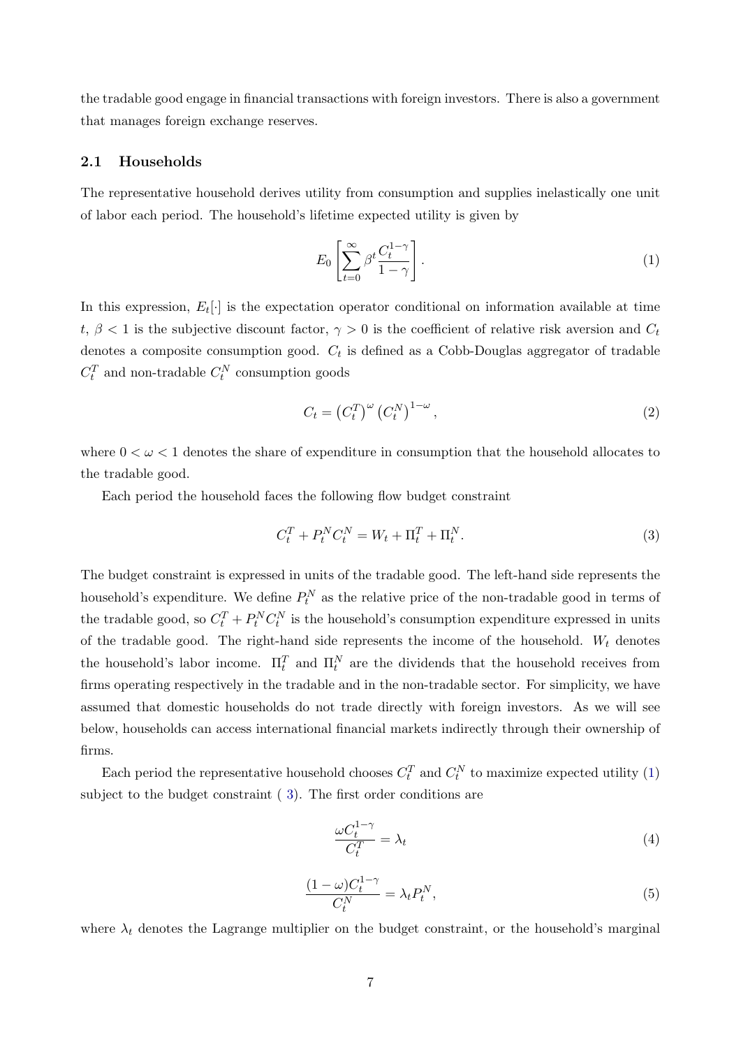the tradable good engage in financial transactions with foreign investors. There is also a government that manages foreign exchange reserves.

#### 2.1 Households

The representative household derives utility from consumption and supplies inelastically one unit of labor each period. The household's lifetime expected utility is given by

<span id="page-7-0"></span>
$$
E_0 \left[ \sum_{t=0}^{\infty} \beta^t \frac{C_t^{1-\gamma}}{1-\gamma} \right].
$$
 (1)

In this expression,  $E_t[\cdot]$  is the expectation operator conditional on information available at time t,  $\beta$  < 1 is the subjective discount factor,  $\gamma > 0$  is the coefficient of relative risk aversion and  $C_t$ denotes a composite consumption good.  $C_t$  is defined as a Cobb-Douglas aggregator of tradable  $C_t^T$  and non-tradable  $C_t^N$  consumption goods

<span id="page-7-4"></span>
$$
C_t = \left(C_t^T\right)^{\omega} \left(C_t^N\right)^{1-\omega},\tag{2}
$$

where  $0 < \omega < 1$  denotes the share of expenditure in consumption that the household allocates to the tradable good.

Each period the household faces the following flow budget constraint

<span id="page-7-1"></span>
$$
C_t^T + P_t^N C_t^N = W_t + \Pi_t^T + \Pi_t^N.
$$
\n(3)

The budget constraint is expressed in units of the tradable good. The left-hand side represents the household's expenditure. We define  $P_t^N$  as the relative price of the non-tradable good in terms of the tradable good, so  $C_t^T + P_t^N C_t^N$  is the household's consumption expenditure expressed in units of the tradable good. The right-hand side represents the income of the household.  $W_t$  denotes the household's labor income.  $\Pi_t^T$  and  $\Pi_t^N$  are the dividends that the household receives from firms operating respectively in the tradable and in the non-tradable sector. For simplicity, we have assumed that domestic households do not trade directly with foreign investors. As we will see below, households can access international financial markets indirectly through their ownership of firms.

Each period the representative household chooses  $C_t^T$  and  $C_t^N$  to maximize expected utility [\(1\)](#page-7-0) subject to the budget constraint ( [3\)](#page-7-1). The first order conditions are

<span id="page-7-2"></span>
$$
\frac{\omega C_t^{1-\gamma}}{C_t^T} = \lambda_t \tag{4}
$$

<span id="page-7-3"></span>
$$
\frac{(1-\omega)C_t^{1-\gamma}}{C_t^N} = \lambda_t P_t^N,\tag{5}
$$

where  $\lambda_t$  denotes the Lagrange multiplier on the budget constraint, or the household's marginal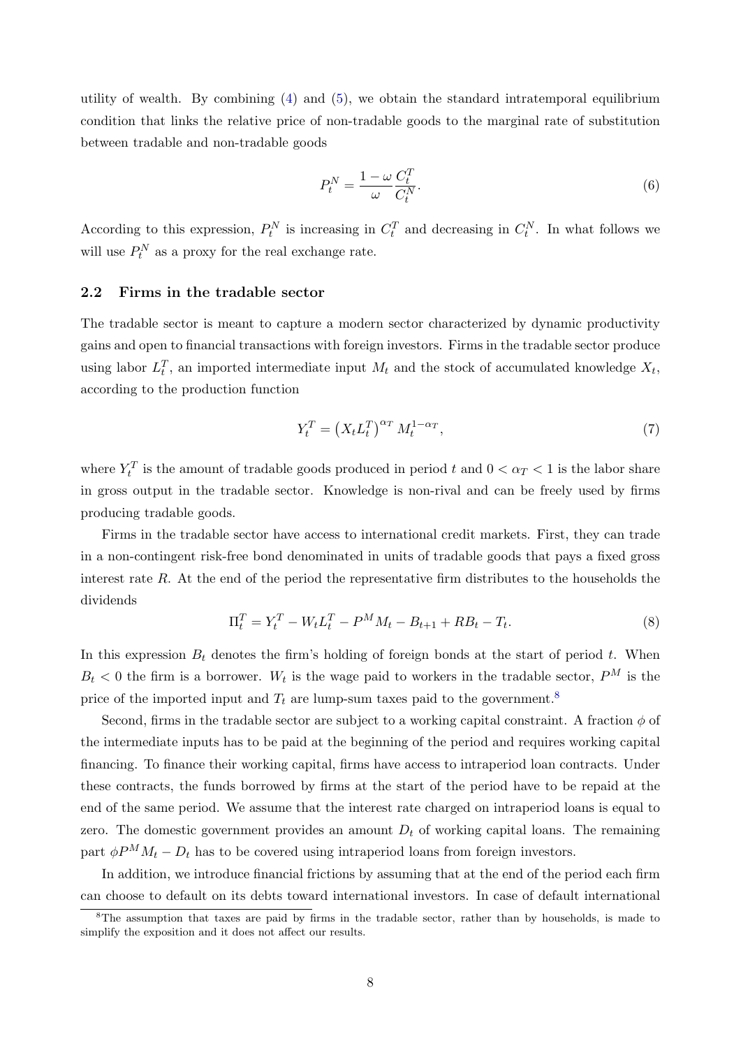utility of wealth. By combining  $(4)$  and  $(5)$ , we obtain the standard intratemporal equilibrium condition that links the relative price of non-tradable goods to the marginal rate of substitution between tradable and non-tradable goods

<span id="page-8-3"></span>
$$
P_t^N = \frac{1 - \omega}{\omega} \frac{C_t^T}{C_t^N}.
$$
\n
$$
\tag{6}
$$

According to this expression,  $P_t^N$  is increasing in  $C_t^T$  and decreasing in  $C_t^N$ . In what follows we will use  $P_t^N$  as a proxy for the real exchange rate.

#### 2.2 Firms in the tradable sector

The tradable sector is meant to capture a modern sector characterized by dynamic productivity gains and open to financial transactions with foreign investors. Firms in the tradable sector produce using labor  $L_t^T$ , an imported intermediate input  $M_t$  and the stock of accumulated knowledge  $X_t$ , according to the production function

<span id="page-8-2"></span>
$$
Y_t^T = \left(X_t L_t^T\right)^{\alpha_T} M_t^{1-\alpha_T},\tag{7}
$$

where  $Y_t^T$  is the amount of tradable goods produced in period t and  $0 < \alpha_T < 1$  is the labor share in gross output in the tradable sector. Knowledge is non-rival and can be freely used by firms producing tradable goods.

Firms in the tradable sector have access to international credit markets. First, they can trade in a non-contingent risk-free bond denominated in units of tradable goods that pays a fixed gross interest rate  $R$ . At the end of the period the representative firm distributes to the households the dividends

<span id="page-8-1"></span>
$$
\Pi_t^T = Y_t^T - W_t L_t^T - P^M M_t - B_{t+1} + R B_t - T_t.
$$
\n(8)

In this expression  $B_t$  denotes the firm's holding of foreign bonds at the start of period t. When  $B_t < 0$  the firm is a borrower. W<sub>t</sub> is the wage paid to workers in the tradable sector,  $P^M$  is the price of the imported input and  $T_t$  are lump-sum taxes paid to the government.<sup>[8](#page-8-0)</sup>

Second, firms in the tradable sector are subject to a working capital constraint. A fraction  $\phi$  of the intermediate inputs has to be paid at the beginning of the period and requires working capital financing. To finance their working capital, firms have access to intraperiod loan contracts. Under these contracts, the funds borrowed by firms at the start of the period have to be repaid at the end of the same period. We assume that the interest rate charged on intraperiod loans is equal to zero. The domestic government provides an amount  $D_t$  of working capital loans. The remaining part  $\phi P^{M} M_{t} - D_{t}$  has to be covered using intraperiod loans from foreign investors.

In addition, we introduce financial frictions by assuming that at the end of the period each firm can choose to default on its debts toward international investors. In case of default international

<span id="page-8-0"></span><sup>8</sup>The assumption that taxes are paid by firms in the tradable sector, rather than by households, is made to simplify the exposition and it does not affect our results.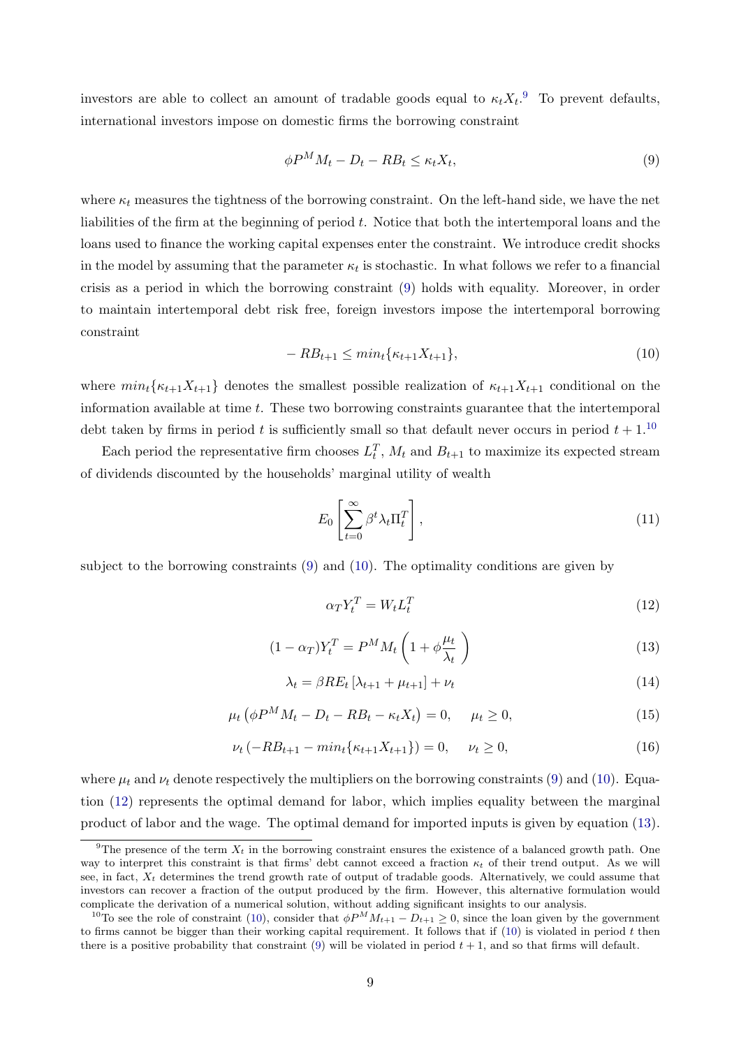investors are able to collect an amount of tradable goods equal to  $\kappa_t X_t$ .<sup>[9](#page-9-0)</sup> To prevent defaults, international investors impose on domestic firms the borrowing constraint

<span id="page-9-1"></span>
$$
\phi P^M M_t - D_t - R B_t \le \kappa_t X_t,\tag{9}
$$

where  $\kappa_t$  measures the tightness of the borrowing constraint. On the left-hand side, we have the net liabilities of the firm at the beginning of period t. Notice that both the intertemporal loans and the loans used to finance the working capital expenses enter the constraint. We introduce credit shocks in the model by assuming that the parameter  $\kappa_t$  is stochastic. In what follows we refer to a financial crisis as a period in which the borrowing constraint [\(9\)](#page-9-1) holds with equality. Moreover, in order to maintain intertemporal debt risk free, foreign investors impose the intertemporal borrowing constraint

<span id="page-9-3"></span>
$$
-RB_{t+1} \le \min_t \{ \kappa_{t+1} X_{t+1} \},\tag{10}
$$

where  $min_t\{\kappa_{t+1}X_{t+1}\}\)$  denotes the smallest possible realization of  $\kappa_{t+1}X_{t+1}$  conditional on the information available at time  $t$ . These two borrowing constraints guarantee that the intertemporal debt taken by firms in period t is sufficiently small so that default never occurs in period  $t + 1$ .<sup>[10](#page-9-2)</sup>

Each period the representative firm chooses  $L_t^T$ ,  $M_t$  and  $B_{t+1}$  to maximize its expected stream of dividends discounted by the households' marginal utility of wealth

$$
E_0 \left[ \sum_{t=0}^{\infty} \beta^t \lambda_t \Pi_t^T \right], \tag{11}
$$

subject to the borrowing constraints [\(9\)](#page-9-1) and [\(10\)](#page-9-3). The optimality conditions are given by

<span id="page-9-4"></span>
$$
\alpha T Y_t^T = W_t L_t^T \tag{12}
$$

<span id="page-9-5"></span>
$$
(1 - \alpha_T)Y_t^T = P^M M_t \left( 1 + \phi \frac{\mu_t}{\lambda_t} \right) \tag{13}
$$

<span id="page-9-6"></span>
$$
\lambda_t = \beta RE_t \left[ \lambda_{t+1} + \mu_{t+1} \right] + \nu_t \tag{14}
$$

<span id="page-9-7"></span>
$$
\mu_t \left( \phi P^M M_t - D_t - R B_t - \kappa_t X_t \right) = 0, \quad \mu_t \ge 0,
$$
\n(15)

<span id="page-9-8"></span>
$$
\nu_t \left( -RB_{t+1} - \min_t \{ \kappa_{t+1} X_{t+1} \} \right) = 0, \quad \nu_t \ge 0,
$$
\n(16)

where  $\mu_t$  and  $\nu_t$  denote respectively the multipliers on the borrowing constraints [\(9\)](#page-9-1) and [\(10\)](#page-9-3). Equation [\(12\)](#page-9-4) represents the optimal demand for labor, which implies equality between the marginal product of labor and the wage. The optimal demand for imported inputs is given by equation [\(13\)](#page-9-5).

<span id="page-9-0"></span><sup>&</sup>lt;sup>9</sup>The presence of the term  $X_t$  in the borrowing constraint ensures the existence of a balanced growth path. One way to interpret this constraint is that firms' debt cannot exceed a fraction  $\kappa_t$  of their trend output. As we will see, in fact,  $X_t$  determines the trend growth rate of output of tradable goods. Alternatively, we could assume that investors can recover a fraction of the output produced by the firm. However, this alternative formulation would complicate the derivation of a numerical solution, without adding significant insights to our analysis.

<span id="page-9-2"></span><sup>&</sup>lt;sup>10</sup>To see the role of constraint [\(10\)](#page-9-3), consider that  $\phi P^M M_{t+1} - D_{t+1} \geq 0$ , since the loan given by the government to firms cannot be bigger than their working capital requirement. It follows that if  $(10)$  is violated in period t then there is a positive probability that constraint  $(9)$  will be violated in period  $t + 1$ , and so that firms will default.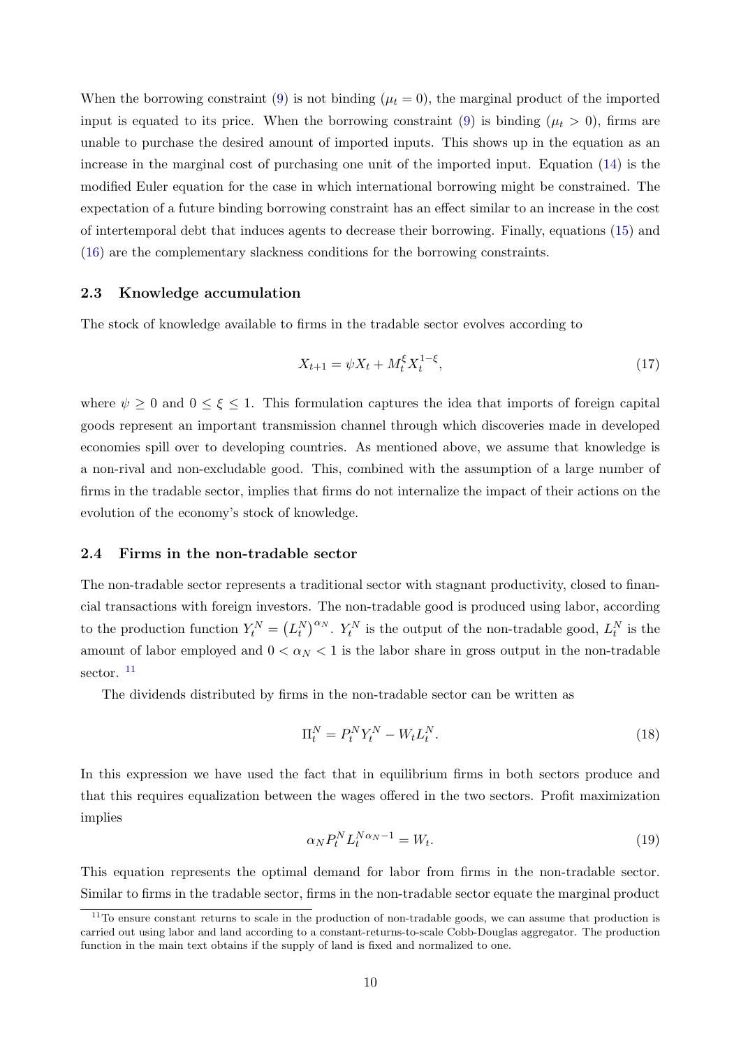When the borrowing constraint [\(9\)](#page-9-1) is not binding ( $\mu_t = 0$ ), the marginal product of the imported input is equated to its price. When the borrowing constraint [\(9\)](#page-9-1) is binding ( $\mu_t > 0$ ), firms are unable to purchase the desired amount of imported inputs. This shows up in the equation as an increase in the marginal cost of purchasing one unit of the imported input. Equation [\(14\)](#page-9-6) is the modified Euler equation for the case in which international borrowing might be constrained. The expectation of a future binding borrowing constraint has an effect similar to an increase in the cost of intertemporal debt that induces agents to decrease their borrowing. Finally, equations [\(15\)](#page-9-7) and [\(16\)](#page-9-8) are the complementary slackness conditions for the borrowing constraints.

#### 2.3 Knowledge accumulation

The stock of knowledge available to firms in the tradable sector evolves according to

<span id="page-10-3"></span>
$$
X_{t+1} = \psi X_t + M_t^{\xi} X_t^{1-\xi},\tag{17}
$$

where  $\psi \geq 0$  and  $0 \leq \xi \leq 1$ . This formulation captures the idea that imports of foreign capital goods represent an important transmission channel through which discoveries made in developed economies spill over to developing countries. As mentioned above, we assume that knowledge is a non-rival and non-excludable good. This, combined with the assumption of a large number of firms in the tradable sector, implies that firms do not internalize the impact of their actions on the evolution of the economy's stock of knowledge.

#### 2.4 Firms in the non-tradable sector

The non-tradable sector represents a traditional sector with stagnant productivity, closed to financial transactions with foreign investors. The non-tradable good is produced using labor, according to the production function  $Y_t^N = (L_t^N)^{\alpha_N}$ .  $Y_t^N$  is the output of the non-tradable good,  $L_t^N$  is the amount of labor employed and  $0 < \alpha_N < 1$  is the labor share in gross output in the non-tradable sector.<sup>[11](#page-10-0)</sup>

The dividends distributed by firms in the non-tradable sector can be written as

<span id="page-10-1"></span>
$$
\Pi_t^N = P_t^N Y_t^N - W_t L_t^N. \tag{18}
$$

In this expression we have used the fact that in equilibrium firms in both sectors produce and that this requires equalization between the wages offered in the two sectors. Profit maximization implies

<span id="page-10-2"></span>
$$
\alpha_N P_t^N L_t^{N\alpha_N - 1} = W_t. \tag{19}
$$

This equation represents the optimal demand for labor from firms in the non-tradable sector. Similar to firms in the tradable sector, firms in the non-tradable sector equate the marginal product

<span id="page-10-0"></span><sup>&</sup>lt;sup>11</sup>To ensure constant returns to scale in the production of non-tradable goods, we can assume that production is carried out using labor and land according to a constant-returns-to-scale Cobb-Douglas aggregator. The production function in the main text obtains if the supply of land is fixed and normalized to one.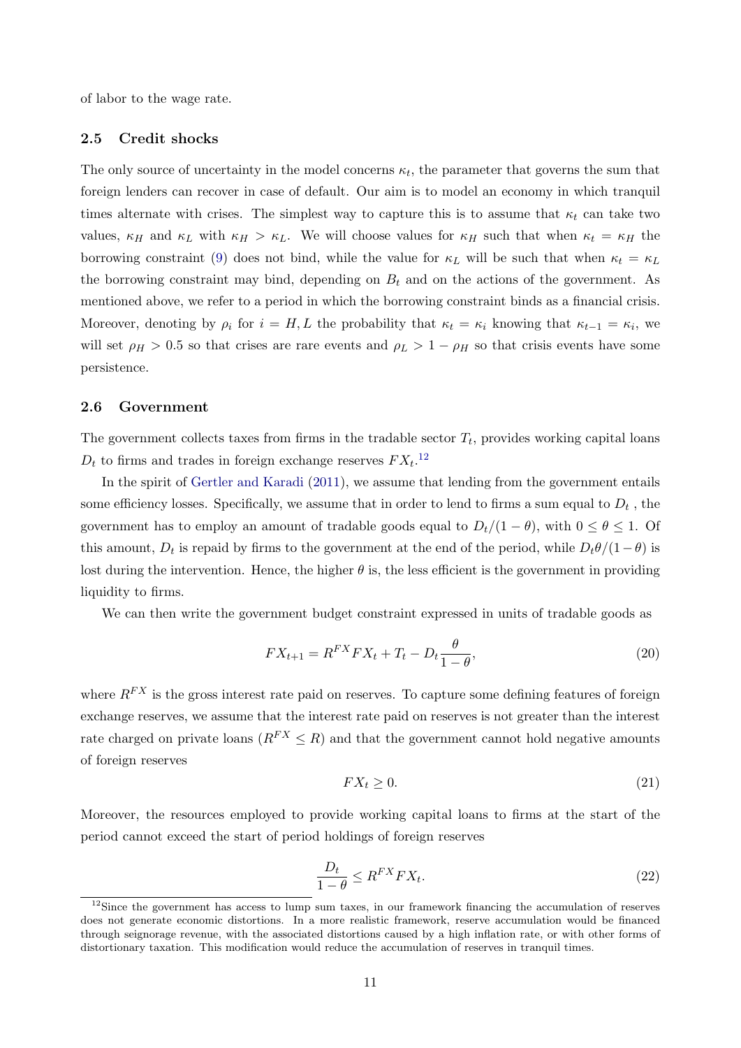of labor to the wage rate.

#### 2.5 Credit shocks

The only source of uncertainty in the model concerns  $\kappa_t$ , the parameter that governs the sum that foreign lenders can recover in case of default. Our aim is to model an economy in which tranquil times alternate with crises. The simplest way to capture this is to assume that  $\kappa_t$  can take two values,  $\kappa_H$  and  $\kappa_L$  with  $\kappa_H > \kappa_L$ . We will choose values for  $\kappa_H$  such that when  $\kappa_t = \kappa_H$  the borrowing constraint [\(9\)](#page-9-1) does not bind, while the value for  $\kappa_L$  will be such that when  $\kappa_t = \kappa_L$ the borrowing constraint may bind, depending on  $B_t$  and on the actions of the government. As mentioned above, we refer to a period in which the borrowing constraint binds as a financial crisis. Moreover, denoting by  $\rho_i$  for  $i = H, L$  the probability that  $\kappa_t = \kappa_i$  knowing that  $\kappa_{t-1} = \kappa_i$ , we will set  $\rho_H > 0.5$  so that crises are rare events and  $\rho_L > 1 - \rho_H$  so that crisis events have some persistence.

#### 2.6 Government

The government collects taxes from firms in the tradable sector  $T_t$ , provides working capital loans  $D_t$  to firms and trades in foreign exchange reserves  $FX_t$ <sup>[12](#page-11-0)</sup>

In the spirit of [Gertler and Karadi](#page-28-11) [\(2011\)](#page-28-11), we assume that lending from the government entails some efficiency losses. Specifically, we assume that in order to lend to firms a sum equal to  $D_t$  , the government has to employ an amount of tradable goods equal to  $D_t/(1 - \theta)$ , with  $0 \le \theta \le 1$ . Of this amount,  $D_t$  is repaid by firms to the government at the end of the period, while  $D_t\theta/(1-\theta)$  is lost during the intervention. Hence, the higher  $\theta$  is, the less efficient is the government in providing liquidity to firms.

We can then write the government budget constraint expressed in units of tradable goods as

<span id="page-11-1"></span>
$$
FX_{t+1} = R^{FX}FX_t + T_t - D_t \frac{\theta}{1 - \theta},
$$
\n(20)

where  $R^{FX}$  is the gross interest rate paid on reserves. To capture some defining features of foreign exchange reserves, we assume that the interest rate paid on reserves is not greater than the interest rate charged on private loans ( $R^{FX} \leq R$ ) and that the government cannot hold negative amounts of foreign reserves

<span id="page-11-2"></span>
$$
FX_t \ge 0. \tag{21}
$$

Moreover, the resources employed to provide working capital loans to firms at the start of the period cannot exceed the start of period holdings of foreign reserves

<span id="page-11-3"></span>
$$
\frac{D_t}{1-\theta} \le R^{FX} F X_t.
$$
\n<sup>(22)</sup>

<span id="page-11-0"></span><sup>&</sup>lt;sup>12</sup>Since the government has access to lump sum taxes, in our framework financing the accumulation of reserves does not generate economic distortions. In a more realistic framework, reserve accumulation would be financed through seignorage revenue, with the associated distortions caused by a high inflation rate, or with other forms of distortionary taxation. This modification would reduce the accumulation of reserves in tranquil times.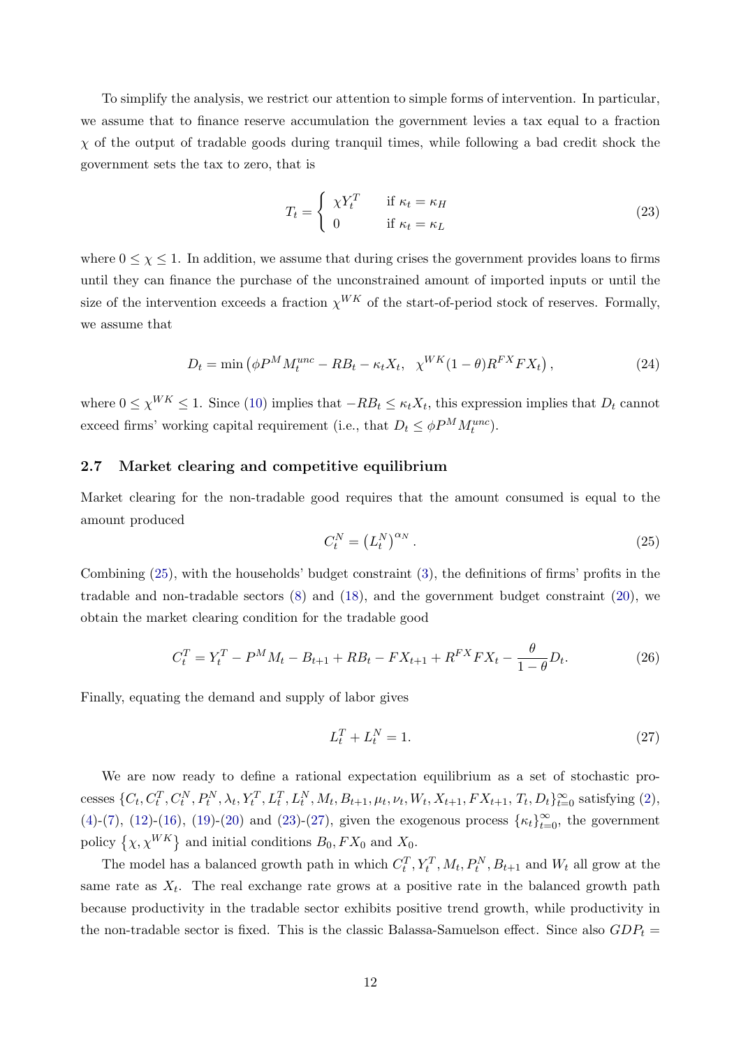To simplify the analysis, we restrict our attention to simple forms of intervention. In particular, we assume that to finance reserve accumulation the government levies a tax equal to a fraction  $\chi$  of the output of tradable goods during tranquil times, while following a bad credit shock the government sets the tax to zero, that is

<span id="page-12-1"></span>
$$
T_t = \begin{cases} \chi Y_t^T & \text{if } \kappa_t = \kappa_H \\ 0 & \text{if } \kappa_t = \kappa_L \end{cases}
$$
 (23)

where  $0 \leq \chi \leq 1$ . In addition, we assume that during crises the government provides loans to firms until they can finance the purchase of the unconstrained amount of imported inputs or until the size of the intervention exceeds a fraction  $\chi^{WK}$  of the start-of-period stock of reserves. Formally, we assume that

$$
D_t = \min\left(\phi P^M M_t^{unc} - RB_t - \kappa_t X_t, \ \chi^{WK}(1-\theta) R^{FX} F X_t\right),\tag{24}
$$

where  $0 \leq \chi^{WK} \leq 1$ . Since [\(10\)](#page-9-3) implies that  $-RB_t \leq \kappa_t X_t$ , this expression implies that  $D_t$  cannot exceed firms' working capital requirement (i.e., that  $D_t \le \phi P^M M_t^{unc}$ ).

#### 2.7 Market clearing and competitive equilibrium

Market clearing for the non-tradable good requires that the amount consumed is equal to the amount produced

<span id="page-12-0"></span>
$$
C_t^N = \left(L_t^N\right)^{\alpha_N}.\tag{25}
$$

Combining [\(25\)](#page-12-0), with the households' budget constraint [\(3\)](#page-7-1), the definitions of firms' profits in the tradable and non-tradable sectors [\(8\)](#page-8-1) and [\(18\)](#page-10-1), and the government budget constraint [\(20\)](#page-11-1), we obtain the market clearing condition for the tradable good

<span id="page-12-3"></span>
$$
C_t^T = Y_t^T - P^M M_t - B_{t+1} + R B_t - F X_{t+1} + R^{FX} F X_t - \frac{\theta}{1 - \theta} D_t.
$$
 (26)

Finally, equating the demand and supply of labor gives

<span id="page-12-2"></span>
$$
L_t^T + L_t^N = 1.
$$
\n(27)

We are now ready to define a rational expectation equilibrium as a set of stochastic processes  $\{C_t, C_t^T, C_t^N, P_t^N, \lambda_t, Y_t^T, L_t^T, L_t^N, M_t, B_{t+1}, \mu_t, \nu_t, W_t, X_{t+1}, FX_{t+1}, T_t, D_t\}_{t=0}^{\infty}$  satisfying [\(2\)](#page-7-4), [\(4\)](#page-7-2)-[\(7\)](#page-8-2), [\(12\)](#page-9-4)-[\(16\)](#page-9-8), [\(19\)](#page-10-2)-[\(20\)](#page-11-1) and [\(23\)](#page-12-1)-[\(27\)](#page-12-2), given the exogenous process  $\{\kappa_t\}_{t=0}^{\infty}$ , the government policy  $\{\chi, \chi^{WK}\}\$  and initial conditions  $B_0, FX_0$  and  $X_0$ .

The model has a balanced growth path in which  $C_t^T$ ,  $Y_t^T$ ,  $M_t$ ,  $P_t^N$ ,  $B_{t+1}$  and  $W_t$  all grow at the same rate as  $X_t$ . The real exchange rate grows at a positive rate in the balanced growth path because productivity in the tradable sector exhibits positive trend growth, while productivity in the non-tradable sector is fixed. This is the classic Balassa-Samuelson effect. Since also  $GDP_t$  =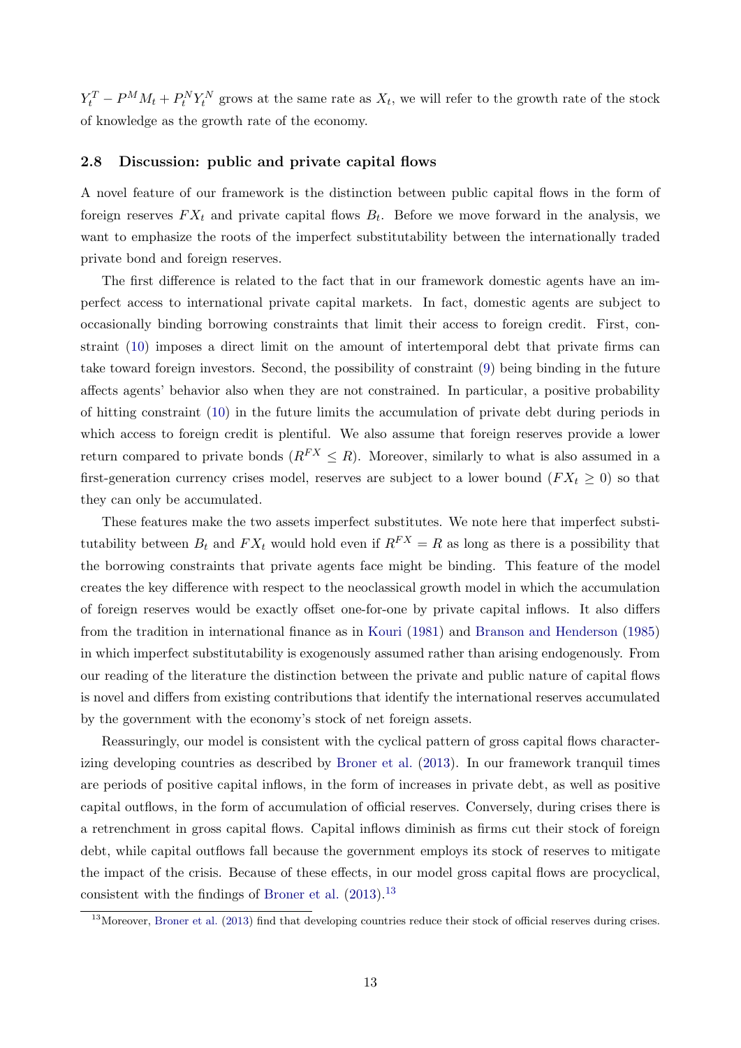$Y_t^T - P^M M_t + P_t^N Y_t^N$  grows at the same rate as  $X_t$ , we will refer to the growth rate of the stock of knowledge as the growth rate of the economy.

#### 2.8 Discussion: public and private capital flows

A novel feature of our framework is the distinction between public capital flows in the form of foreign reserves  $FX_t$  and private capital flows  $B_t$ . Before we move forward in the analysis, we want to emphasize the roots of the imperfect substitutability between the internationally traded private bond and foreign reserves.

The first difference is related to the fact that in our framework domestic agents have an imperfect access to international private capital markets. In fact, domestic agents are subject to occasionally binding borrowing constraints that limit their access to foreign credit. First, constraint [\(10\)](#page-9-3) imposes a direct limit on the amount of intertemporal debt that private firms can take toward foreign investors. Second, the possibility of constraint [\(9\)](#page-9-1) being binding in the future affects agents' behavior also when they are not constrained. In particular, a positive probability of hitting constraint [\(10\)](#page-9-3) in the future limits the accumulation of private debt during periods in which access to foreign credit is plentiful. We also assume that foreign reserves provide a lower return compared to private bonds  $(R^{FX} \leq R)$ . Moreover, similarly to what is also assumed in a first-generation currency crises model, reserves are subject to a lower bound ( $FX_t \geq 0$ ) so that they can only be accumulated.

These features make the two assets imperfect substitutes. We note here that imperfect substitutability between  $B_t$  and  $FX_t$  would hold even if  $R^{FX} = R$  as long as there is a possibility that the borrowing constraints that private agents face might be binding. This feature of the model creates the key difference with respect to the neoclassical growth model in which the accumulation of foreign reserves would be exactly offset one-for-one by private capital inflows. It also differs from the tradition in international finance as in [Kouri](#page-29-12) [\(1981\)](#page-29-12) and [Branson and Henderson](#page-28-12) [\(1985\)](#page-28-12) in which imperfect substitutability is exogenously assumed rather than arising endogenously. From our reading of the literature the distinction between the private and public nature of capital flows is novel and differs from existing contributions that identify the international reserves accumulated by the government with the economy's stock of net foreign assets.

Reassuringly, our model is consistent with the cyclical pattern of gross capital flows characterizing developing countries as described by [Broner et al.](#page-28-1) [\(2013\)](#page-28-1). In our framework tranquil times are periods of positive capital inflows, in the form of increases in private debt, as well as positive capital outflows, in the form of accumulation of official reserves. Conversely, during crises there is a retrenchment in gross capital flows. Capital inflows diminish as firms cut their stock of foreign debt, while capital outflows fall because the government employs its stock of reserves to mitigate the impact of the crisis. Because of these effects, in our model gross capital flows are procyclical, consistent with the findings of [Broner et al.](#page-28-1)  $(2013).<sup>13</sup>$  $(2013).<sup>13</sup>$  $(2013).<sup>13</sup>$  $(2013).<sup>13</sup>$ 

<span id="page-13-0"></span><sup>&</sup>lt;sup>13</sup>Moreover, [Broner et al.](#page-28-1) [\(2013\)](#page-28-1) find that developing countries reduce their stock of official reserves during crises.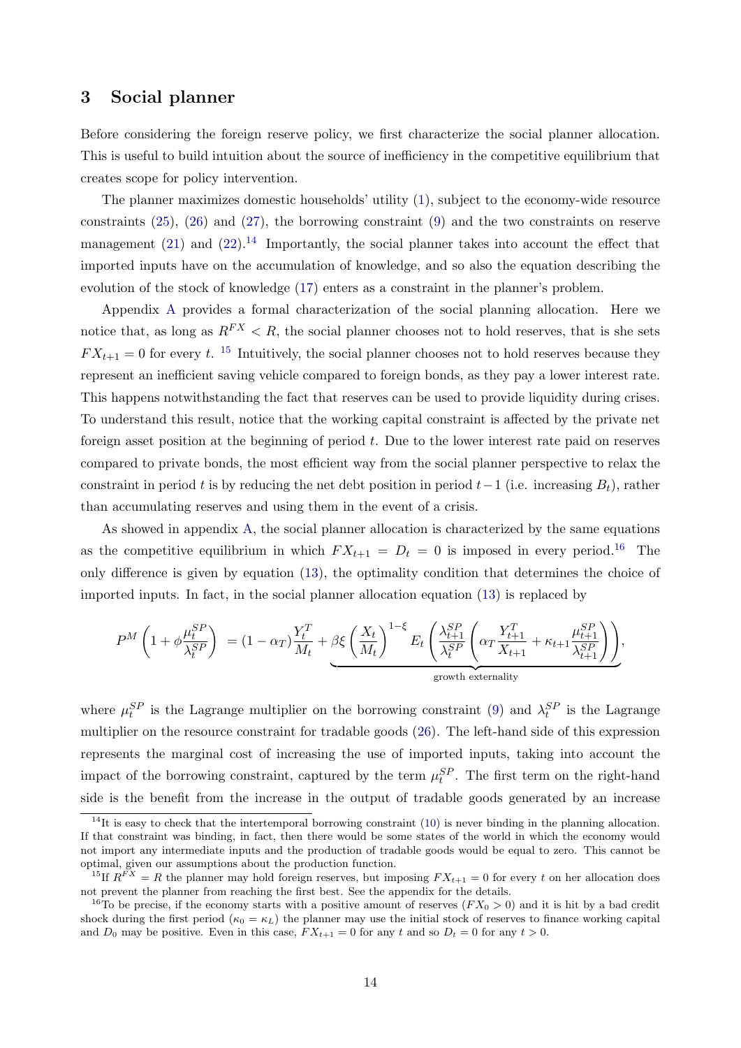### 3 Social planner

Before considering the foreign reserve policy, we first characterize the social planner allocation. This is useful to build intuition about the source of inefficiency in the competitive equilibrium that creates scope for policy intervention.

The planner maximizes domestic households' utility [\(1\)](#page-7-0), subject to the economy-wide resource constraints [\(25\)](#page-12-0), [\(26\)](#page-12-3) and [\(27\)](#page-12-2), the borrowing constraint [\(9\)](#page-9-1) and the two constraints on reserve management [\(21\)](#page-11-2) and [\(22\)](#page-11-3).<sup>[14](#page-14-0)</sup> Importantly, the social planner takes into account the effect that imported inputs have on the accumulation of knowledge, and so also the equation describing the evolution of the stock of knowledge [\(17\)](#page-10-3) enters as a constraint in the planner's problem.

Appendix [A](#page-31-0) provides a formal characterization of the social planning allocation. Here we notice that, as long as  $R^{FX} < R$ , the social planner chooses not to hold reserves, that is she sets  $FX_{t+1} = 0$  for every t. <sup>[15](#page-14-1)</sup> Intuitively, the social planner chooses not to hold reserves because they represent an inefficient saving vehicle compared to foreign bonds, as they pay a lower interest rate. This happens notwithstanding the fact that reserves can be used to provide liquidity during crises. To understand this result, notice that the working capital constraint is affected by the private net foreign asset position at the beginning of period  $t$ . Due to the lower interest rate paid on reserves compared to private bonds, the most efficient way from the social planner perspective to relax the constraint in period t is by reducing the net debt position in period  $t-1$  (i.e. increasing  $B_t$ ), rather than accumulating reserves and using them in the event of a crisis.

As showed in appendix [A,](#page-31-0) the social planner allocation is characterized by the same equations as the competitive equilibrium in which  $FX_{t+1} = D_t = 0$  is imposed in every period.<sup>[16](#page-14-2)</sup> The only difference is given by equation [\(13\)](#page-9-5), the optimality condition that determines the choice of imported inputs. In fact, in the social planner allocation equation [\(13\)](#page-9-5) is replaced by

$$
P^{M}\left(1+\phi \frac{\mu_{t}^{SP}}{\lambda_{t}^{SP}}\right) = (1-\alpha_{T})\frac{Y_{t}^{T}}{M_{t}} + \underbrace{\beta \xi \left(\frac{X_{t}}{M_{t}}\right)^{1-\xi} E_{t}\left(\frac{\lambda_{t+1}^{SP}}{\lambda_{t}^{SP}}\left(\alpha_{T}\frac{Y_{t+1}^{T}}{X_{t+1}} + \kappa_{t+1}\frac{\mu_{t+1}^{SP}}{\lambda_{t+1}^{SP}}\right)\right)}_{\text{growth externally}},
$$

where  $\mu_t^{SP}$  is the Lagrange multiplier on the borrowing constraint [\(9\)](#page-9-1) and  $\lambda_t^{SP}$  is the Lagrange multiplier on the resource constraint for tradable goods [\(26\)](#page-12-3). The left-hand side of this expression represents the marginal cost of increasing the use of imported inputs, taking into account the impact of the borrowing constraint, captured by the term  $\mu_t^{SP}$ . The first term on the right-hand side is the benefit from the increase in the output of tradable goods generated by an increase

<span id="page-14-0"></span> $14$ It is easy to check that the intertemporal borrowing constraint [\(10\)](#page-9-3) is never binding in the planning allocation. If that constraint was binding, in fact, then there would be some states of the world in which the economy would not import any intermediate inputs and the production of tradable goods would be equal to zero. This cannot be optimal, given our assumptions about the production function.

<span id="page-14-1"></span><sup>&</sup>lt;sup>15</sup>If  $R^{FX} = R$  the planner may hold foreign reserves, but imposing  $FX_{t+1} = 0$  for every t on her allocation does not prevent the planner from reaching the first best. See the appendix for the details.

<span id="page-14-2"></span><sup>&</sup>lt;sup>16</sup>To be precise, if the economy starts with a positive amount of reserves  $(FX_0 > 0)$  and it is hit by a bad credit shock during the first period ( $\kappa_0 = \kappa_L$ ) the planner may use the initial stock of reserves to finance working capital and  $D_0$  may be positive. Even in this case,  $FX_{t+1} = 0$  for any t and so  $D_t = 0$  for any  $t > 0$ .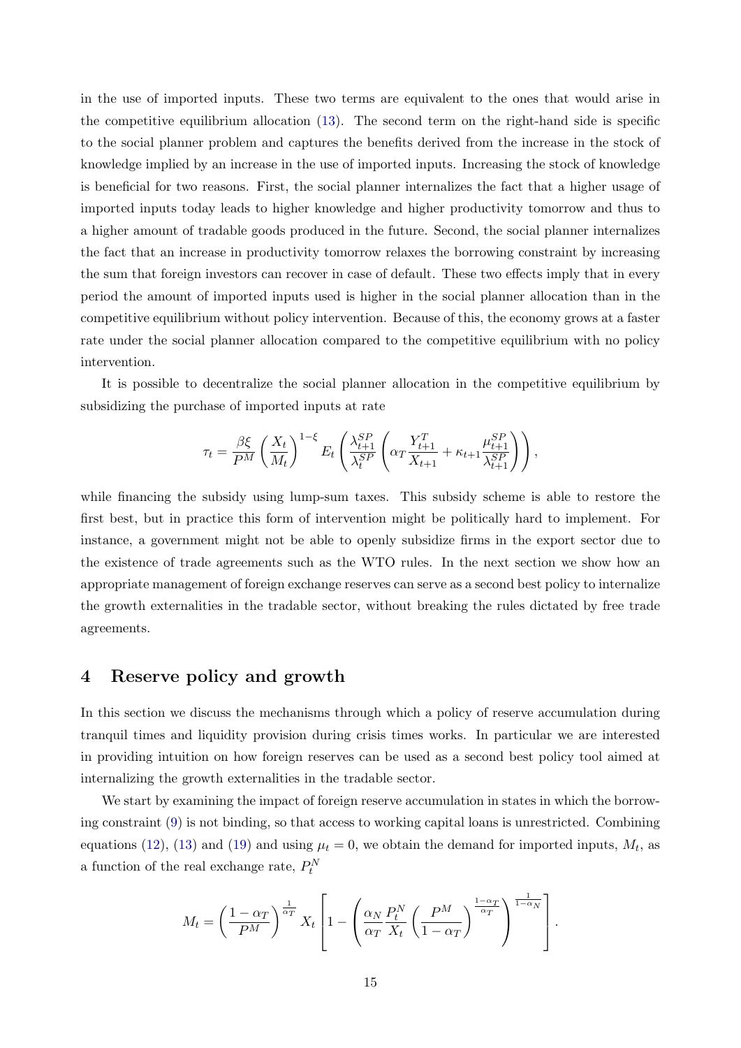in the use of imported inputs. These two terms are equivalent to the ones that would arise in the competitive equilibrium allocation [\(13\)](#page-9-5). The second term on the right-hand side is specific to the social planner problem and captures the benefits derived from the increase in the stock of knowledge implied by an increase in the use of imported inputs. Increasing the stock of knowledge is beneficial for two reasons. First, the social planner internalizes the fact that a higher usage of imported inputs today leads to higher knowledge and higher productivity tomorrow and thus to a higher amount of tradable goods produced in the future. Second, the social planner internalizes the fact that an increase in productivity tomorrow relaxes the borrowing constraint by increasing the sum that foreign investors can recover in case of default. These two effects imply that in every period the amount of imported inputs used is higher in the social planner allocation than in the competitive equilibrium without policy intervention. Because of this, the economy grows at a faster rate under the social planner allocation compared to the competitive equilibrium with no policy intervention.

It is possible to decentralize the social planner allocation in the competitive equilibrium by subsidizing the purchase of imported inputs at rate

$$
\tau_t = \frac{\beta \xi}{P^M} \left( \frac{X_t}{M_t} \right)^{1-\xi} E_t \left( \frac{\lambda_{t+1}^{SP}}{\lambda_t^{SP}} \left( \alpha_T \frac{Y_{t+1}^T}{X_{t+1}} + \kappa_{t+1} \frac{\mu_{t+1}^{SP}}{\lambda_{t+1}^{SP}} \right) \right),
$$

while financing the subsidy using lump-sum taxes. This subsidy scheme is able to restore the first best, but in practice this form of intervention might be politically hard to implement. For instance, a government might not be able to openly subsidize firms in the export sector due to the existence of trade agreements such as the WTO rules. In the next section we show how an appropriate management of foreign exchange reserves can serve as a second best policy to internalize the growth externalities in the tradable sector, without breaking the rules dictated by free trade agreements.

## <span id="page-15-0"></span>4 Reserve policy and growth

In this section we discuss the mechanisms through which a policy of reserve accumulation during tranquil times and liquidity provision during crisis times works. In particular we are interested in providing intuition on how foreign reserves can be used as a second best policy tool aimed at internalizing the growth externalities in the tradable sector.

We start by examining the impact of foreign reserve accumulation in states in which the borrowing constraint [\(9\)](#page-9-1) is not binding, so that access to working capital loans is unrestricted. Combining equations [\(12\)](#page-9-4), [\(13\)](#page-9-5) and [\(19\)](#page-10-2) and using  $\mu_t = 0$ , we obtain the demand for imported inputs,  $M_t$ , as a function of the real exchange rate,  $P_t^N$ 

$$
M_t = \left(\frac{1-\alpha_T}{P^M}\right)^{\frac{1}{\alpha_T}} X_t \left[1 - \left(\frac{\alpha_N}{\alpha_T} \frac{P_t^N}{X_t} \left(\frac{P^M}{1-\alpha_T}\right)^{\frac{1-\alpha_T}{\alpha_T}}\right)^{\frac{1}{1-\alpha_N}}\right].
$$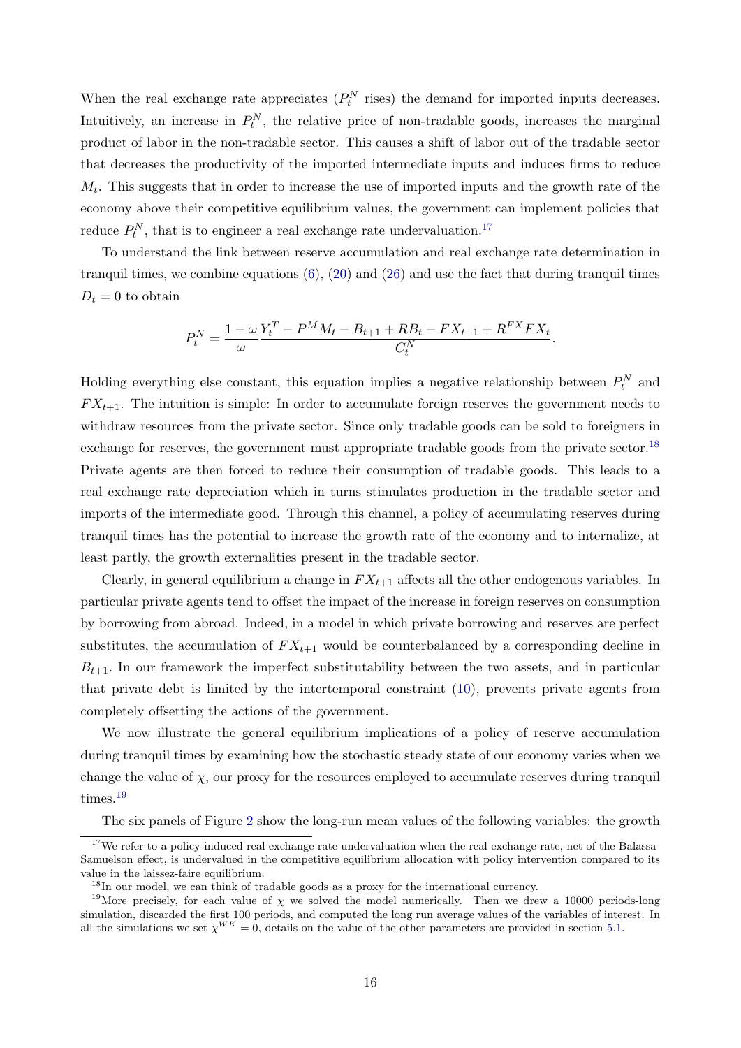When the real exchange rate appreciates  $(P_t^N$  rises) the demand for imported inputs decreases. Intuitively, an increase in  $P_t^N$ , the relative price of non-tradable goods, increases the marginal product of labor in the non-tradable sector. This causes a shift of labor out of the tradable sector that decreases the productivity of the imported intermediate inputs and induces firms to reduce  $M_t$ . This suggests that in order to increase the use of imported inputs and the growth rate of the economy above their competitive equilibrium values, the government can implement policies that reduce  $P_t^N$ , that is to engineer a real exchange rate undervaluation.<sup>[17](#page-16-0)</sup>

To understand the link between reserve accumulation and real exchange rate determination in tranquil times, we combine equations  $(6)$ ,  $(20)$  and  $(26)$  and use the fact that during tranquil times  $D_t = 0$  to obtain

$$
P_t^N = \frac{1 - \omega}{\omega} \frac{Y_t^T - P^M M_t - B_{t+1} + R B_t - F X_{t+1} + R^{FX} F X_t}{C_t^N}.
$$

Holding everything else constant, this equation implies a negative relationship between  $P_t^N$  and  $FX_{t+1}$ . The intuition is simple: In order to accumulate foreign reserves the government needs to withdraw resources from the private sector. Since only tradable goods can be sold to foreigners in exchange for reserves, the government must appropriate tradable goods from the private sector.<sup>[18](#page-16-1)</sup> Private agents are then forced to reduce their consumption of tradable goods. This leads to a real exchange rate depreciation which in turns stimulates production in the tradable sector and imports of the intermediate good. Through this channel, a policy of accumulating reserves during tranquil times has the potential to increase the growth rate of the economy and to internalize, at least partly, the growth externalities present in the tradable sector.

Clearly, in general equilibrium a change in  $FX_{t+1}$  affects all the other endogenous variables. In particular private agents tend to offset the impact of the increase in foreign reserves on consumption by borrowing from abroad. Indeed, in a model in which private borrowing and reserves are perfect substitutes, the accumulation of  $FX_{t+1}$  would be counterbalanced by a corresponding decline in  $B_{t+1}$ . In our framework the imperfect substitutability between the two assets, and in particular that private debt is limited by the intertemporal constraint [\(10\)](#page-9-3), prevents private agents from completely offsetting the actions of the government.

We now illustrate the general equilibrium implications of a policy of reserve accumulation during tranquil times by examining how the stochastic steady state of our economy varies when we change the value of  $\chi$ , our proxy for the resources employed to accumulate reserves during tranquil times.[19](#page-16-2)

The six panels of Figure [2](#page-17-0) show the long-run mean values of the following variables: the growth

<span id="page-16-0"></span> $17$ We refer to a policy-induced real exchange rate undervaluation when the real exchange rate, net of the Balassa-Samuelson effect, is undervalued in the competitive equilibrium allocation with policy intervention compared to its value in the laissez-faire equilibrium.

<span id="page-16-2"></span><span id="page-16-1"></span><sup>&</sup>lt;sup>18</sup>In our model, we can think of tradable goods as a proxy for the international currency.

<sup>&</sup>lt;sup>19</sup>More precisely, for each value of  $\chi$  we solved the model numerically. Then we drew a 10000 periods-long simulation, discarded the first 100 periods, and computed the long run average values of the variables of interest. In all the simulations we set  $\chi^{WK} = 0$ , details on the value of the other parameters are provided in section [5.1.](#page-20-0)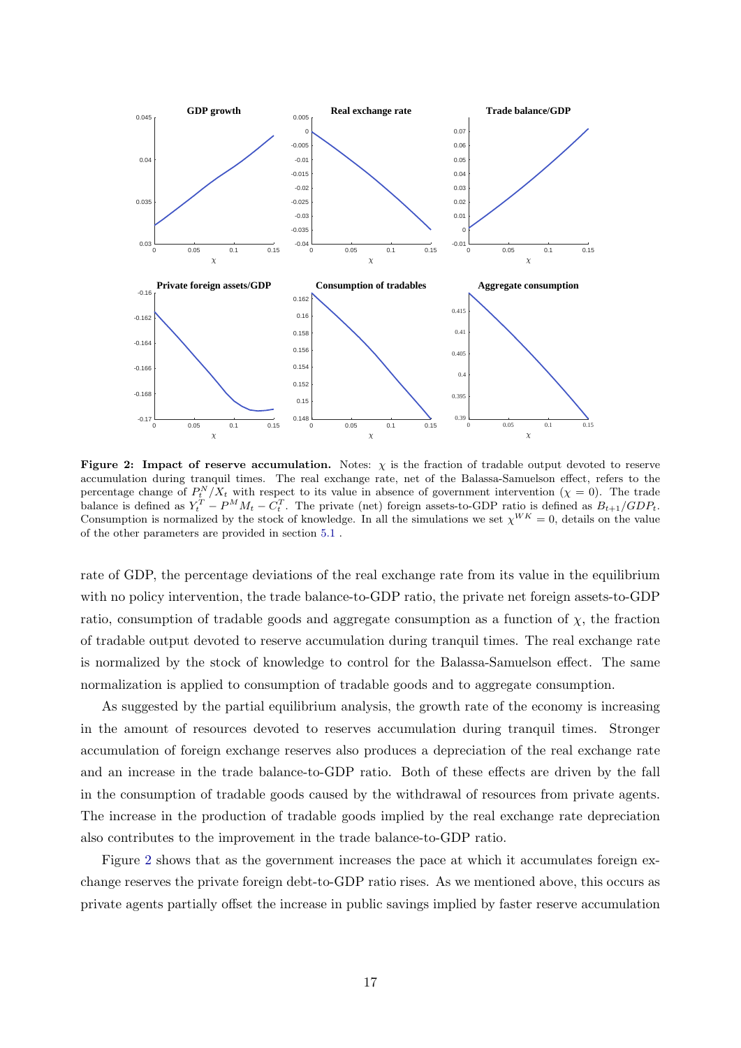<span id="page-17-0"></span>

Figure 2: Impact of reserve accumulation. Notes:  $\chi$  is the fraction of tradable output devoted to reserve accumulation during tranquil times. The real exchange rate, net of the Balassa-Samuelson effect, refers to the percentage change of  $P_t^N/X_t$  with respect to its value in absence of government intervention  $(\chi = 0)$ . The trade balance is defined as  $Y_t^T - P^M M_t - C_t^T$ . The private (net) foreign assets-to-GDP ratio is defined as  $B_{t+1}/GDP_t$ . Consumption is normalized by the stock of knowledge. In all the simulations we set  $\chi^{WK} = 0$ , details on the value of the other parameters are provided in section [5.1](#page-20-0) .

rate of GDP, the percentage deviations of the real exchange rate from its value in the equilibrium with no policy intervention, the trade balance-to-GDP ratio, the private net foreign assets-to-GDP ratio, consumption of tradable goods and aggregate consumption as a function of  $\chi$ , the fraction of tradable output devoted to reserve accumulation during tranquil times. The real exchange rate is normalized by the stock of knowledge to control for the Balassa-Samuelson effect. The same normalization is applied to consumption of tradable goods and to aggregate consumption.

As suggested by the partial equilibrium analysis, the growth rate of the economy is increasing in the amount of resources devoted to reserves accumulation during tranquil times. Stronger accumulation of foreign exchange reserves also produces a depreciation of the real exchange rate and an increase in the trade balance-to-GDP ratio. Both of these effects are driven by the fall in the consumption of tradable goods caused by the withdrawal of resources from private agents. The increase in the production of tradable goods implied by the real exchange rate depreciation also contributes to the improvement in the trade balance-to-GDP ratio.

Figure [2](#page-17-0) shows that as the government increases the pace at which it accumulates foreign exchange reserves the private foreign debt-to-GDP ratio rises. As we mentioned above, this occurs as private agents partially offset the increase in public savings implied by faster reserve accumulation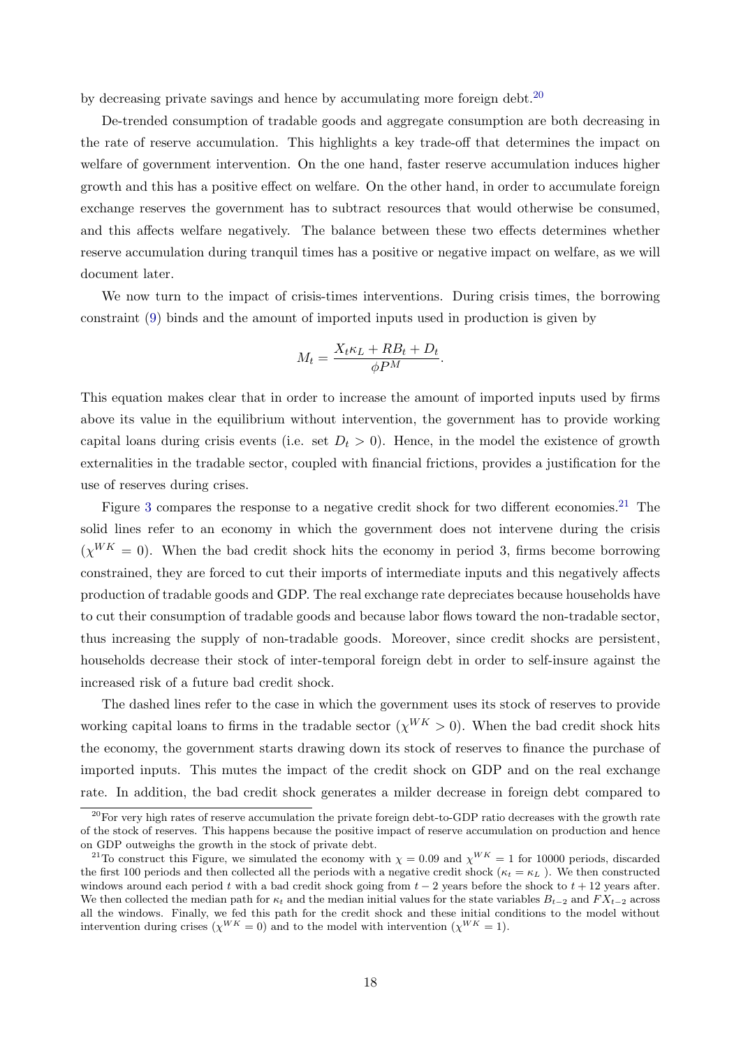by decreasing private savings and hence by accumulating more foreign debt.<sup>[20](#page-18-0)</sup>

De-trended consumption of tradable goods and aggregate consumption are both decreasing in the rate of reserve accumulation. This highlights a key trade-off that determines the impact on welfare of government intervention. On the one hand, faster reserve accumulation induces higher growth and this has a positive effect on welfare. On the other hand, in order to accumulate foreign exchange reserves the government has to subtract resources that would otherwise be consumed, and this affects welfare negatively. The balance between these two effects determines whether reserve accumulation during tranquil times has a positive or negative impact on welfare, as we will document later.

We now turn to the impact of crisis-times interventions. During crisis times, the borrowing constraint [\(9\)](#page-9-1) binds and the amount of imported inputs used in production is given by

$$
M_t = \frac{X_t \kappa_L + RB_t + D_t}{\phi P^M}.
$$

This equation makes clear that in order to increase the amount of imported inputs used by firms above its value in the equilibrium without intervention, the government has to provide working capital loans during crisis events (i.e. set  $D_t > 0$ ). Hence, in the model the existence of growth externalities in the tradable sector, coupled with financial frictions, provides a justification for the use of reserves during crises.

Figure [3](#page-19-0) compares the response to a negative credit shock for two different economies.<sup>[21](#page-18-1)</sup> The solid lines refer to an economy in which the government does not intervene during the crisis  $(\chi^{WK} = 0)$ . When the bad credit shock hits the economy in period 3, firms become borrowing constrained, they are forced to cut their imports of intermediate inputs and this negatively affects production of tradable goods and GDP. The real exchange rate depreciates because households have to cut their consumption of tradable goods and because labor flows toward the non-tradable sector, thus increasing the supply of non-tradable goods. Moreover, since credit shocks are persistent, households decrease their stock of inter-temporal foreign debt in order to self-insure against the increased risk of a future bad credit shock.

The dashed lines refer to the case in which the government uses its stock of reserves to provide working capital loans to firms in the tradable sector  $(\chi^{WK} > 0)$ . When the bad credit shock hits the economy, the government starts drawing down its stock of reserves to finance the purchase of imported inputs. This mutes the impact of the credit shock on GDP and on the real exchange rate. In addition, the bad credit shock generates a milder decrease in foreign debt compared to

<span id="page-18-0"></span> $^{20}$ For very high rates of reserve accumulation the private foreign debt-to-GDP ratio decreases with the growth rate of the stock of reserves. This happens because the positive impact of reserve accumulation on production and hence on GDP outweighs the growth in the stock of private debt.

<span id="page-18-1"></span><sup>&</sup>lt;sup>21</sup>To construct this Figure, we simulated the economy with  $\chi = 0.09$  and  $\chi^{WK} = 1$  for 10000 periods, discarded the first 100 periods and then collected all the periods with a negative credit shock ( $\kappa_t = \kappa_L$ ). We then constructed windows around each period t with a bad credit shock going from  $t - 2$  years before the shock to  $t + 12$  years after. We then collected the median path for  $\kappa_t$  and the median initial values for the state variables  $B_{t-2}$  and  $FX_{t-2}$  across all the windows. Finally, we fed this path for the credit shock and these initial conditions to the model without intervention during crises  $(\chi^{WK} = 0)$  and to the model with intervention  $(\chi^{WK} = 1)$ .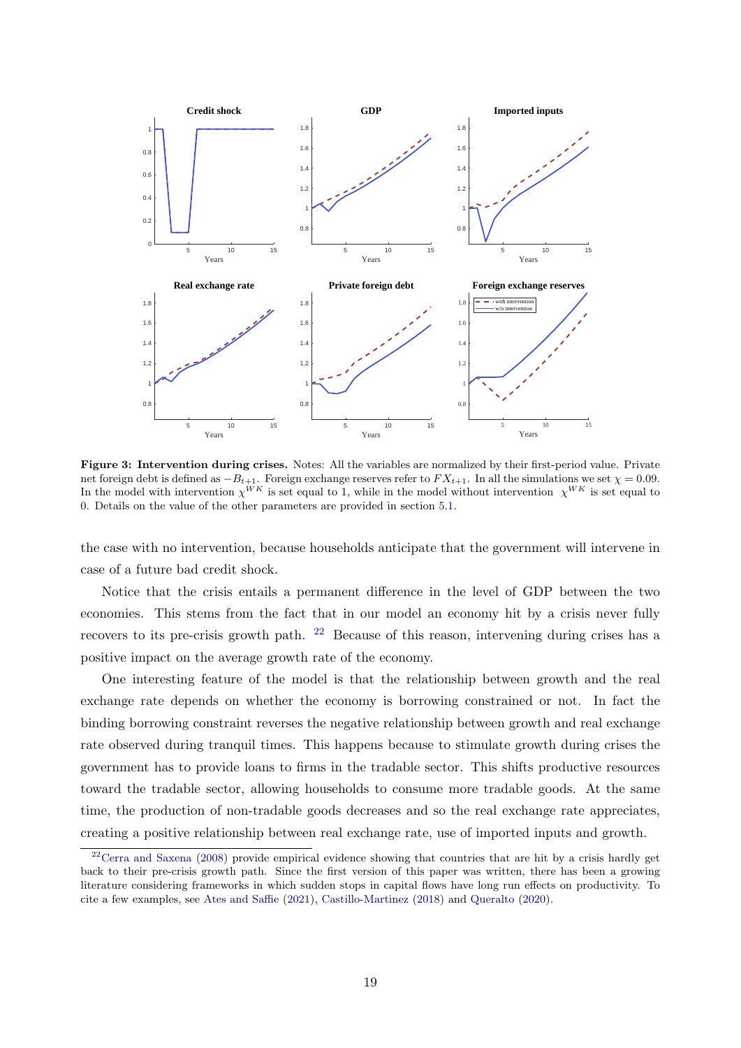<span id="page-19-0"></span>

Figure 3: Intervention during crises. Notes: All the variables are normalized by their first-period value. Private net foreign debt is defined as  $-B_{t+1}$ . Foreign exchange reserves refer to  $FX_{t+1}$ . In all the simulations we set  $\chi = 0.09$ . In the model with intervention  $\chi^{WK}$  is set equal to 1, while in the model without intervention  $\chi^{WK}$  is set equal to 0. Details on the value of the other parameters are provided in section [5.1.](#page-20-0)

the case with no intervention, because households anticipate that the government will intervene in case of a future bad credit shock.

Notice that the crisis entails a permanent difference in the level of GDP between the two economies. This stems from the fact that in our model an economy hit by a crisis never fully recovers to its pre-crisis growth path. [22](#page-19-1) Because of this reason, intervening during crises has a positive impact on the average growth rate of the economy.

One interesting feature of the model is that the relationship between growth and the real exchange rate depends on whether the economy is borrowing constrained or not. In fact the binding borrowing constraint reverses the negative relationship between growth and real exchange rate observed during tranquil times. This happens because to stimulate growth during crises the government has to provide loans to firms in the tradable sector. This shifts productive resources toward the tradable sector, allowing households to consume more tradable goods. At the same time, the production of non-tradable goods decreases and so the real exchange rate appreciates, creating a positive relationship between real exchange rate, use of imported inputs and growth.

<span id="page-19-1"></span><sup>&</sup>lt;sup>22</sup>[Cerra and Saxena](#page-28-4) [\(2008\)](#page-28-4) provide empirical evidence showing that countries that are hit by a crisis hardly get back to their pre-crisis growth path. Since the first version of this paper was written, there has been a growing literature considering frameworks in which sudden stops in capital flows have long run effects on productivity. To cite a few examples, see [Ates and Saffie](#page-27-10) [\(2021\)](#page-27-10), [Castillo-Martinez](#page-28-13) [\(2018\)](#page-28-13) and [Queralto](#page-29-13) [\(2020\)](#page-29-13).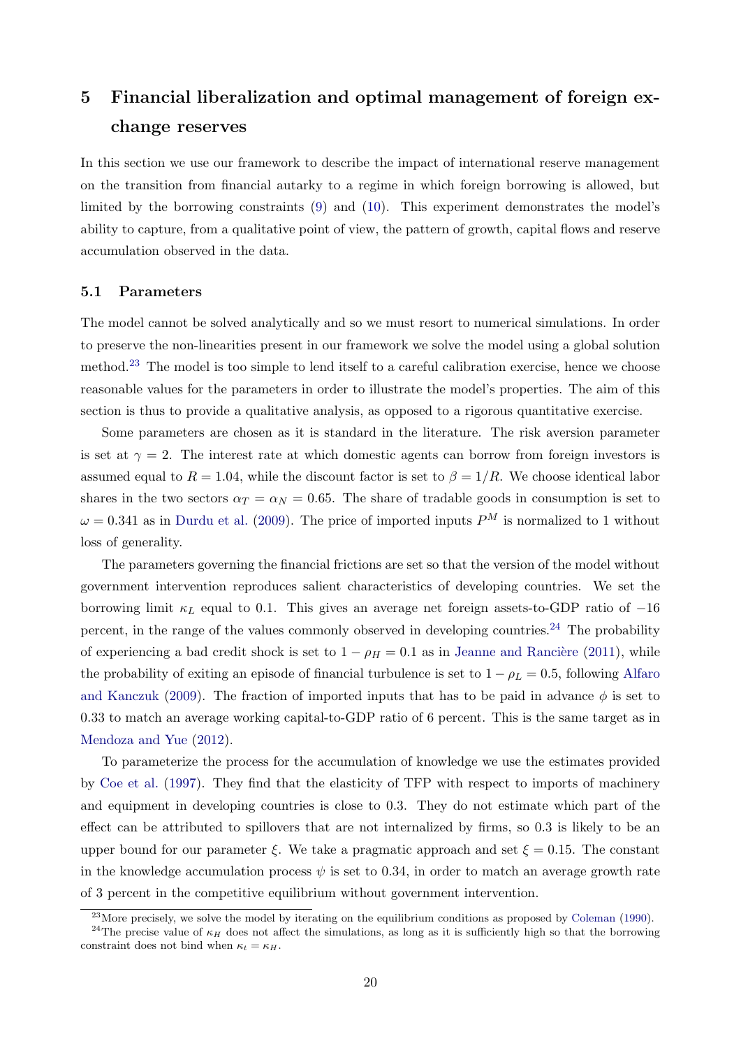# 5 Financial liberalization and optimal management of foreign exchange reserves

In this section we use our framework to describe the impact of international reserve management on the transition from financial autarky to a regime in which foreign borrowing is allowed, but limited by the borrowing constraints [\(9\)](#page-9-1) and [\(10\)](#page-9-3). This experiment demonstrates the model's ability to capture, from a qualitative point of view, the pattern of growth, capital flows and reserve accumulation observed in the data.

#### <span id="page-20-0"></span>5.1 Parameters

The model cannot be solved analytically and so we must resort to numerical simulations. In order to preserve the non-linearities present in our framework we solve the model using a global solution method.[23](#page-20-1) The model is too simple to lend itself to a careful calibration exercise, hence we choose reasonable values for the parameters in order to illustrate the model's properties. The aim of this section is thus to provide a qualitative analysis, as opposed to a rigorous quantitative exercise.

Some parameters are chosen as it is standard in the literature. The risk aversion parameter is set at  $\gamma = 2$ . The interest rate at which domestic agents can borrow from foreign investors is assumed equal to  $R = 1.04$ , while the discount factor is set to  $\beta = 1/R$ . We choose identical labor shares in the two sectors  $\alpha_T = \alpha_N = 0.65$ . The share of tradable goods in consumption is set to  $\omega = 0.341$  as in [Durdu et al.](#page-28-10) [\(2009\)](#page-28-10). The price of imported inputs  $P^{M}$  is normalized to 1 without loss of generality.

The parameters governing the financial frictions are set so that the version of the model without government intervention reproduces salient characteristics of developing countries. We set the borrowing limit  $\kappa_L$  equal to 0.1. This gives an average net foreign assets-to-GDP ratio of  $-16$ percent, in the range of the values commonly observed in developing countries.<sup>[24](#page-20-2)</sup> The probability of experiencing a bad credit shock is set to  $1 - \rho_H = 0.1$  as in Jeanne and Rancière [\(2011\)](#page-29-11), while the probability of exiting an episode of financial turbulence is set to  $1 - \rho_L = 0.5$ , following [Alfaro](#page-27-11) [and Kanczuk](#page-27-11) [\(2009\)](#page-27-11). The fraction of imported inputs that has to be paid in advance  $\phi$  is set to 0.33 to match an average working capital-to-GDP ratio of 6 percent. This is the same target as in [Mendoza and Yue](#page-29-9) [\(2012\)](#page-29-9).

To parameterize the process for the accumulation of knowledge we use the estimates provided by [Coe et al.](#page-28-2) [\(1997\)](#page-28-2). They find that the elasticity of TFP with respect to imports of machinery and equipment in developing countries is close to 0.3. They do not estimate which part of the effect can be attributed to spillovers that are not internalized by firms, so 0.3 is likely to be an upper bound for our parameter  $\xi$ . We take a pragmatic approach and set  $\xi = 0.15$ . The constant in the knowledge accumulation process  $\psi$  is set to 0.34, in order to match an average growth rate of 3 percent in the competitive equilibrium without government intervention.

<span id="page-20-2"></span><span id="page-20-1"></span><sup>&</sup>lt;sup>23</sup>More precisely, we solve the model by iterating on the equilibrium conditions as proposed by [Coleman](#page-28-14) [\(1990\)](#page-28-14).

<sup>&</sup>lt;sup>24</sup>The precise value of  $\kappa_H$  does not affect the simulations, as long as it is sufficiently high so that the borrowing constraint does not bind when  $\kappa_t = \kappa_H$ .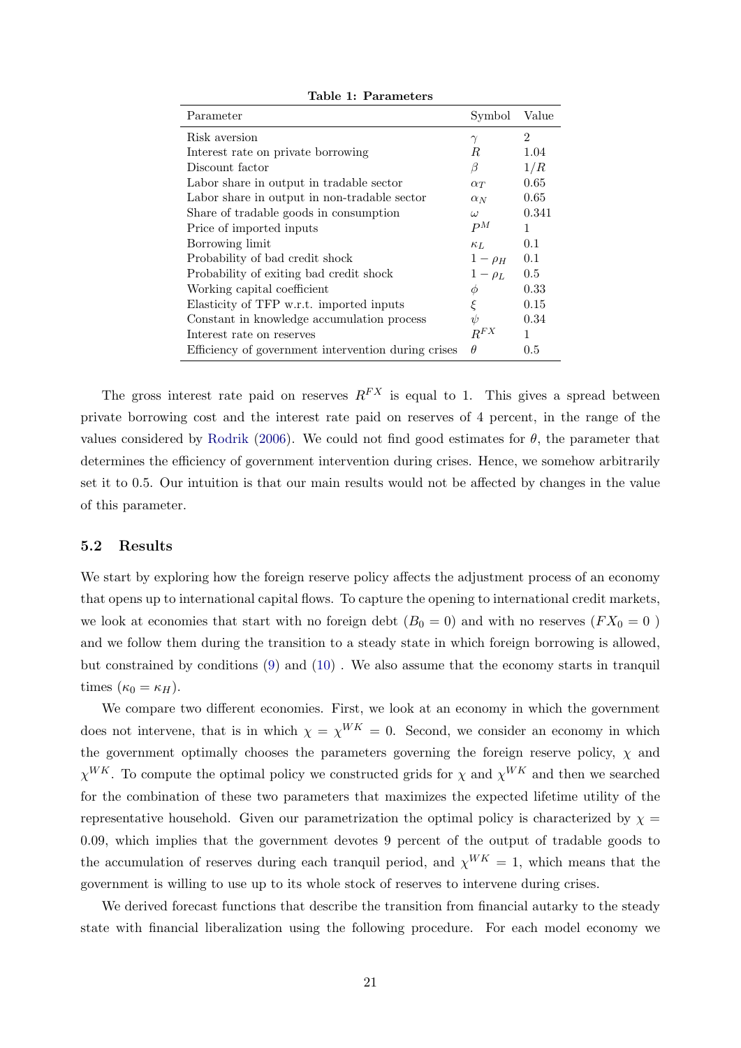| Parameter                                           | Symbol       | Value          |
|-----------------------------------------------------|--------------|----------------|
| Risk aversion                                       | $\gamma$     | $\overline{2}$ |
| Interest rate on private borrowing                  | R            | 1.04           |
| Discount factor                                     | β            | 1/R            |
| Labor share in output in tradable sector            | $\alpha_T$   | 0.65           |
| Labor share in output in non-tradable sector        | $\alpha_N$   | 0.65           |
| Share of tradable goods in consumption              | $\omega$     | 0.341          |
| Price of imported inputs                            | $P^M$        | 1              |
| Borrowing limit                                     | $\kappa_L$   | 0.1            |
| Probability of bad credit shock                     | $1-\rho_H$   | 0.1            |
| Probability of exiting bad credit shock             | $1 - \rho_L$ | 0.5            |
| Working capital coefficient                         | φ            | 0.33           |
| Elasticity of TFP w.r.t. imported inputs            | ξ            | 0.15           |
| Constant in knowledge accumulation process          | ψ            | 0.34           |
| Interest rate on reserves                           | $R^{FX}$     | 1              |
| Efficiency of government intervention during crises | $\theta$     | 0.5            |

Table 1: Parameters

The gross interest rate paid on reserves  $R^{FX}$  is equal to 1. This gives a spread between private borrowing cost and the interest rate paid on reserves of 4 percent, in the range of the values considered by [Rodrik](#page-30-7) [\(2006\)](#page-30-7). We could not find good estimates for  $\theta$ , the parameter that determines the efficiency of government intervention during crises. Hence, we somehow arbitrarily set it to 0.5. Our intuition is that our main results would not be affected by changes in the value of this parameter.

#### 5.2 Results

We start by exploring how the foreign reserve policy affects the adjustment process of an economy that opens up to international capital flows. To capture the opening to international credit markets, we look at economies that start with no foreign debt  $(B_0 = 0)$  and with no reserves  $(FX_0 = 0)$ and we follow them during the transition to a steady state in which foreign borrowing is allowed, but constrained by conditions [\(9\)](#page-9-1) and [\(10\)](#page-9-3) . We also assume that the economy starts in tranquil times  $(\kappa_0 = \kappa_H)$ .

We compare two different economies. First, we look at an economy in which the government does not intervene, that is in which  $\chi = \chi^{WK} = 0$ . Second, we consider an economy in which the government optimally chooses the parameters governing the foreign reserve policy,  $\chi$  and  $\chi^{WK}$ . To compute the optimal policy we constructed grids for  $\chi$  and  $\chi^{WK}$  and then we searched for the combination of these two parameters that maximizes the expected lifetime utility of the representative household. Given our parametrization the optimal policy is characterized by  $\chi =$ 0.09, which implies that the government devotes 9 percent of the output of tradable goods to the accumulation of reserves during each tranquil period, and  $\chi^{WK} = 1$ , which means that the government is willing to use up to its whole stock of reserves to intervene during crises.

We derived forecast functions that describe the transition from financial autarky to the steady state with financial liberalization using the following procedure. For each model economy we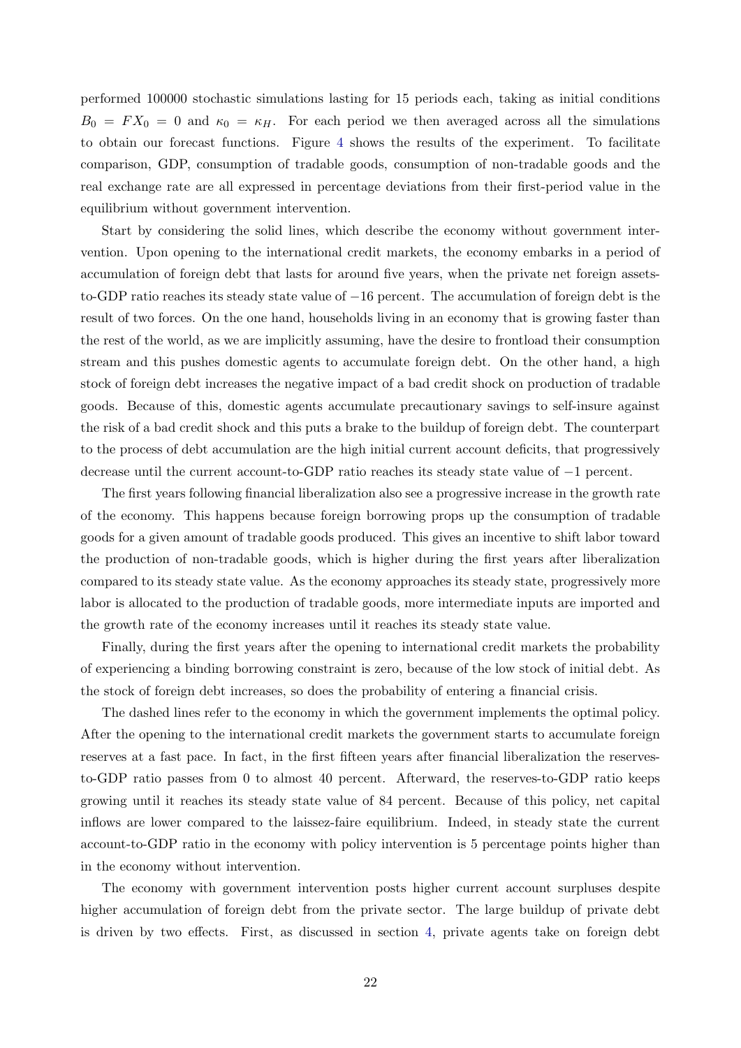performed 100000 stochastic simulations lasting for 15 periods each, taking as initial conditions  $B_0 = FX_0 = 0$  and  $\kappa_0 = \kappa_H$ . For each period we then averaged across all the simulations to obtain our forecast functions. Figure [4](#page-23-0) shows the results of the experiment. To facilitate comparison, GDP, consumption of tradable goods, consumption of non-tradable goods and the real exchange rate are all expressed in percentage deviations from their first-period value in the equilibrium without government intervention.

Start by considering the solid lines, which describe the economy without government intervention. Upon opening to the international credit markets, the economy embarks in a period of accumulation of foreign debt that lasts for around five years, when the private net foreign assetsto-GDP ratio reaches its steady state value of −16 percent. The accumulation of foreign debt is the result of two forces. On the one hand, households living in an economy that is growing faster than the rest of the world, as we are implicitly assuming, have the desire to frontload their consumption stream and this pushes domestic agents to accumulate foreign debt. On the other hand, a high stock of foreign debt increases the negative impact of a bad credit shock on production of tradable goods. Because of this, domestic agents accumulate precautionary savings to self-insure against the risk of a bad credit shock and this puts a brake to the buildup of foreign debt. The counterpart to the process of debt accumulation are the high initial current account deficits, that progressively decrease until the current account-to-GDP ratio reaches its steady state value of −1 percent.

The first years following financial liberalization also see a progressive increase in the growth rate of the economy. This happens because foreign borrowing props up the consumption of tradable goods for a given amount of tradable goods produced. This gives an incentive to shift labor toward the production of non-tradable goods, which is higher during the first years after liberalization compared to its steady state value. As the economy approaches its steady state, progressively more labor is allocated to the production of tradable goods, more intermediate inputs are imported and the growth rate of the economy increases until it reaches its steady state value.

Finally, during the first years after the opening to international credit markets the probability of experiencing a binding borrowing constraint is zero, because of the low stock of initial debt. As the stock of foreign debt increases, so does the probability of entering a financial crisis.

The dashed lines refer to the economy in which the government implements the optimal policy. After the opening to the international credit markets the government starts to accumulate foreign reserves at a fast pace. In fact, in the first fifteen years after financial liberalization the reservesto-GDP ratio passes from 0 to almost 40 percent. Afterward, the reserves-to-GDP ratio keeps growing until it reaches its steady state value of 84 percent. Because of this policy, net capital inflows are lower compared to the laissez-faire equilibrium. Indeed, in steady state the current account-to-GDP ratio in the economy with policy intervention is 5 percentage points higher than in the economy without intervention.

The economy with government intervention posts higher current account surpluses despite higher accumulation of foreign debt from the private sector. The large buildup of private debt is driven by two effects. First, as discussed in section [4,](#page-15-0) private agents take on foreign debt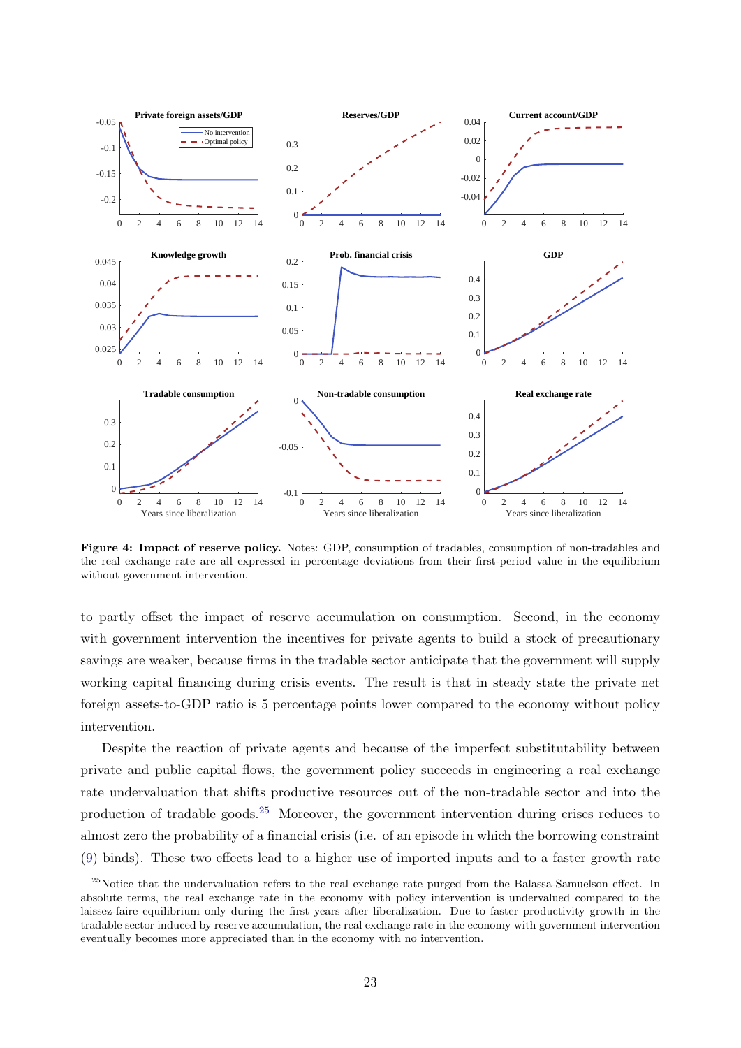<span id="page-23-0"></span>

Figure 4: Impact of reserve policy. Notes: GDP, consumption of tradables, consumption of non-tradables and the real exchange rate are all expressed in percentage deviations from their first-period value in the equilibrium without government intervention.

to partly offset the impact of reserve accumulation on consumption. Second, in the economy with government intervention the incentives for private agents to build a stock of precautionary savings are weaker, because firms in the tradable sector anticipate that the government will supply working capital financing during crisis events. The result is that in steady state the private net foreign assets-to-GDP ratio is 5 percentage points lower compared to the economy without policy intervention.

Despite the reaction of private agents and because of the imperfect substitutability between private and public capital flows, the government policy succeeds in engineering a real exchange rate undervaluation that shifts productive resources out of the non-tradable sector and into the production of tradable goods.[25](#page-23-1) Moreover, the government intervention during crises reduces to almost zero the probability of a financial crisis (i.e. of an episode in which the borrowing constraint [\(9\)](#page-9-1) binds). These two effects lead to a higher use of imported inputs and to a faster growth rate

<span id="page-23-1"></span><sup>&</sup>lt;sup>25</sup>Notice that the undervaluation refers to the real exchange rate purged from the Balassa-Samuelson effect. In absolute terms, the real exchange rate in the economy with policy intervention is undervalued compared to the laissez-faire equilibrium only during the first years after liberalization. Due to faster productivity growth in the tradable sector induced by reserve accumulation, the real exchange rate in the economy with government intervention eventually becomes more appreciated than in the economy with no intervention.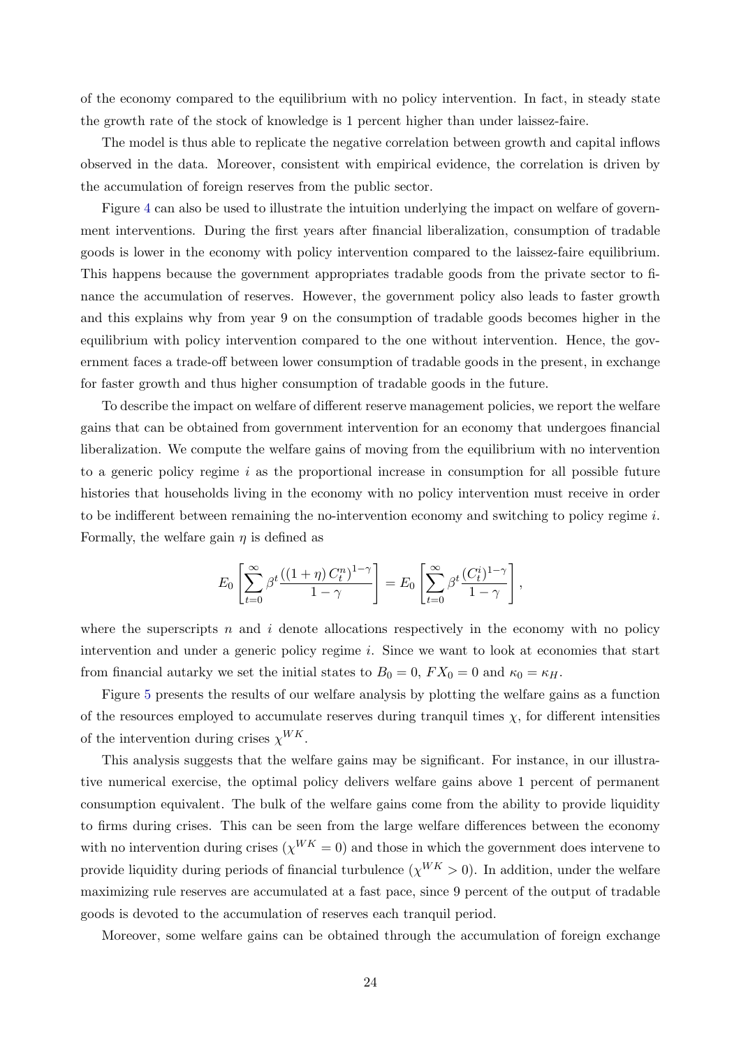of the economy compared to the equilibrium with no policy intervention. In fact, in steady state the growth rate of the stock of knowledge is 1 percent higher than under laissez-faire.

The model is thus able to replicate the negative correlation between growth and capital inflows observed in the data. Moreover, consistent with empirical evidence, the correlation is driven by the accumulation of foreign reserves from the public sector.

Figure [4](#page-23-0) can also be used to illustrate the intuition underlying the impact on welfare of government interventions. During the first years after financial liberalization, consumption of tradable goods is lower in the economy with policy intervention compared to the laissez-faire equilibrium. This happens because the government appropriates tradable goods from the private sector to finance the accumulation of reserves. However, the government policy also leads to faster growth and this explains why from year 9 on the consumption of tradable goods becomes higher in the equilibrium with policy intervention compared to the one without intervention. Hence, the government faces a trade-off between lower consumption of tradable goods in the present, in exchange for faster growth and thus higher consumption of tradable goods in the future.

To describe the impact on welfare of different reserve management policies, we report the welfare gains that can be obtained from government intervention for an economy that undergoes financial liberalization. We compute the welfare gains of moving from the equilibrium with no intervention to a generic policy regime  $i$  as the proportional increase in consumption for all possible future histories that households living in the economy with no policy intervention must receive in order to be indifferent between remaining the no-intervention economy and switching to policy regime  $i$ . Formally, the welfare gain  $\eta$  is defined as

$$
E_0\left[\sum_{t=0}^{\infty}\beta^t\frac{((1+\eta) C_t^n)^{1-\gamma}}{1-\gamma}\right] = E_0\left[\sum_{t=0}^{\infty}\beta^t\frac{(C_t^i)^{1-\gamma}}{1-\gamma}\right],
$$

where the superscripts n and i denote allocations respectively in the economy with no policy intervention and under a generic policy regime i. Since we want to look at economies that start from financial autarky we set the initial states to  $B_0 = 0$ ,  $FX_0 = 0$  and  $\kappa_0 = \kappa_H$ .

Figure [5](#page-25-0) presents the results of our welfare analysis by plotting the welfare gains as a function of the resources employed to accumulate reserves during tranquil times  $\chi$ , for different intensities of the intervention during crises  $\chi^{WK}$ .

This analysis suggests that the welfare gains may be significant. For instance, in our illustrative numerical exercise, the optimal policy delivers welfare gains above 1 percent of permanent consumption equivalent. The bulk of the welfare gains come from the ability to provide liquidity to firms during crises. This can be seen from the large welfare differences between the economy with no intervention during crises ( $\chi^{WK} = 0$ ) and those in which the government does intervene to provide liquidity during periods of financial turbulence ( $\chi^{WK} > 0$ ). In addition, under the welfare maximizing rule reserves are accumulated at a fast pace, since 9 percent of the output of tradable goods is devoted to the accumulation of reserves each tranquil period.

Moreover, some welfare gains can be obtained through the accumulation of foreign exchange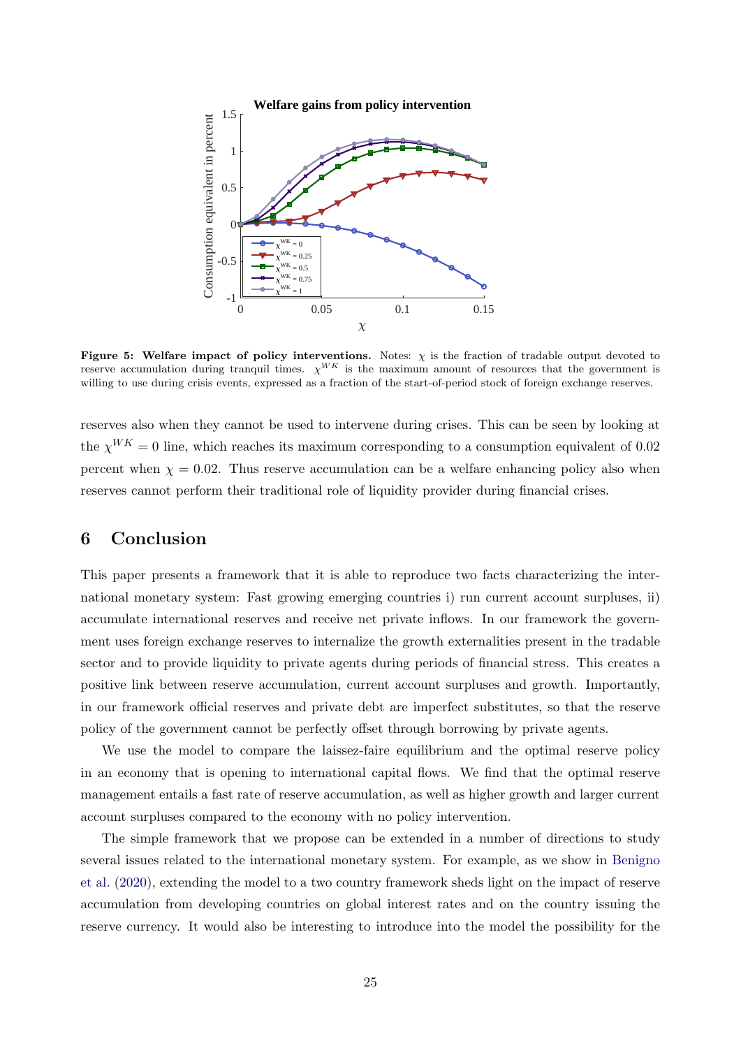<span id="page-25-0"></span>

Figure 5: Welfare impact of policy interventions. Notes:  $\chi$  is the fraction of tradable output devoted to reserve accumulation during tranquil times.  $\chi^{WK}$  is the maximum amount of resources that the government is willing to use during crisis events, expressed as a fraction of the start-of-period stock of foreign exchange reserves.

reserves also when they cannot be used to intervene during crises. This can be seen by looking at the  $\chi^{WK} = 0$  line, which reaches its maximum corresponding to a consumption equivalent of 0.02 percent when  $\chi = 0.02$ . Thus reserve accumulation can be a welfare enhancing policy also when reserves cannot perform their traditional role of liquidity provider during financial crises.

## 6 Conclusion

This paper presents a framework that it is able to reproduce two facts characterizing the international monetary system: Fast growing emerging countries i) run current account surpluses, ii) accumulate international reserves and receive net private inflows. In our framework the government uses foreign exchange reserves to internalize the growth externalities present in the tradable sector and to provide liquidity to private agents during periods of financial stress. This creates a positive link between reserve accumulation, current account surpluses and growth. Importantly, in our framework official reserves and private debt are imperfect substitutes, so that the reserve policy of the government cannot be perfectly offset through borrowing by private agents.

We use the model to compare the laissez-faire equilibrium and the optimal reserve policy in an economy that is opening to international capital flows. We find that the optimal reserve management entails a fast rate of reserve accumulation, as well as higher growth and larger current account surpluses compared to the economy with no policy intervention.

The simple framework that we propose can be extended in a number of directions to study several issues related to the international monetary system. For example, as we show in [Benigno](#page-27-12) [et al.](#page-27-12) [\(2020\)](#page-27-12), extending the model to a two country framework sheds light on the impact of reserve accumulation from developing countries on global interest rates and on the country issuing the reserve currency. It would also be interesting to introduce into the model the possibility for the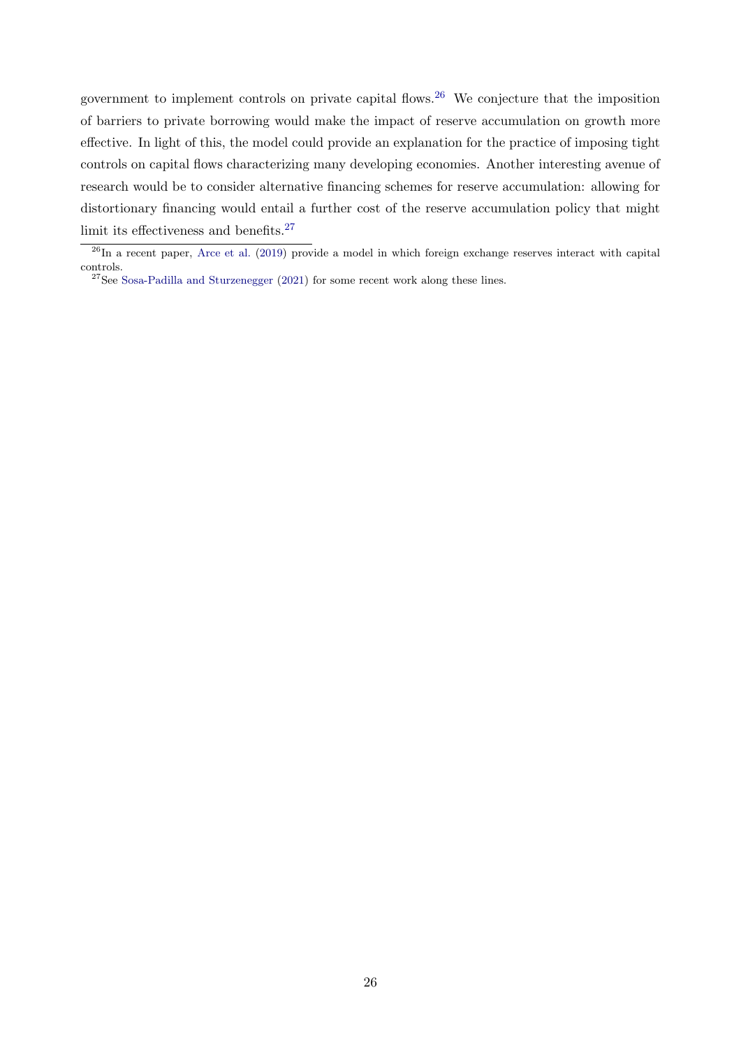government to implement controls on private capital flows.[26](#page-26-0) We conjecture that the imposition of barriers to private borrowing would make the impact of reserve accumulation on growth more effective. In light of this, the model could provide an explanation for the practice of imposing tight controls on capital flows characterizing many developing economies. Another interesting avenue of research would be to consider alternative financing schemes for reserve accumulation: allowing for distortionary financing would entail a further cost of the reserve accumulation policy that might limit its effectiveness and benefits.<sup>[27](#page-26-1)</sup>

<span id="page-26-0"></span> $^{26}$ In a recent paper, [Arce et al.](#page-27-13) [\(2019\)](#page-27-13) provide a model in which foreign exchange reserves interact with capital controls.

<span id="page-26-1"></span> $27$ See [Sosa-Padilla and Sturzenegger](#page-30-8) [\(2021\)](#page-30-8) for some recent work along these lines.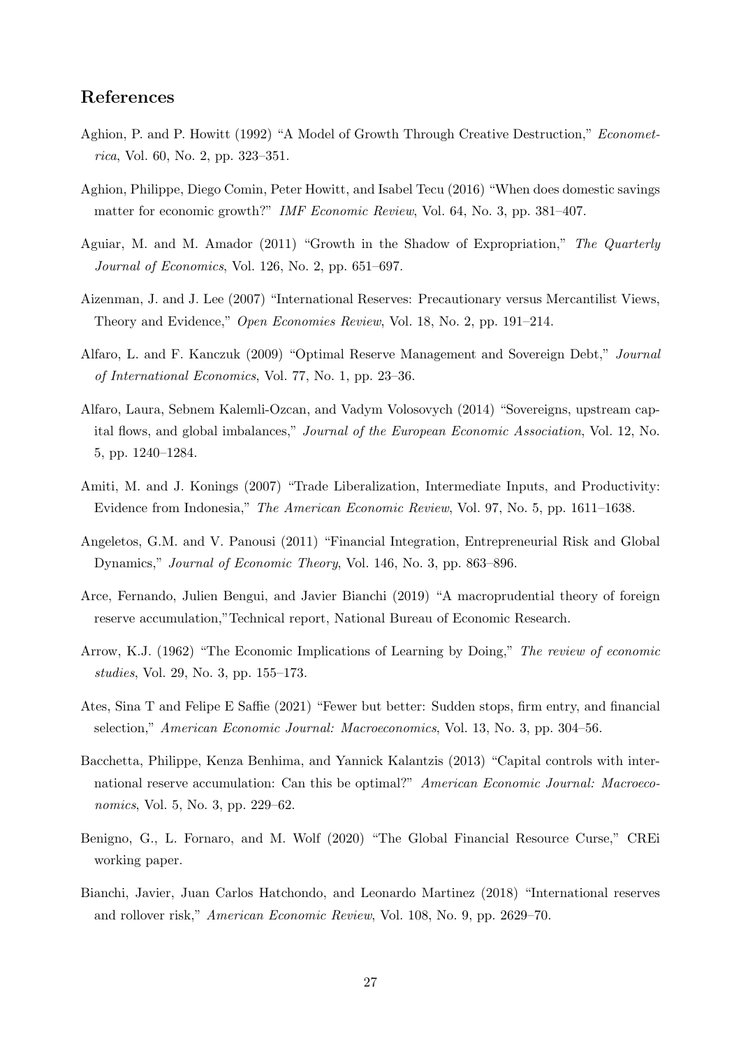## References

- <span id="page-27-3"></span>Aghion, P. and P. Howitt (1992) "A Model of Growth Through Creative Destruction," Econometrica, Vol. 60, No. 2, pp. 323–351.
- <span id="page-27-4"></span>Aghion, Philippe, Diego Comin, Peter Howitt, and Isabel Tecu (2016) "When does domestic savings matter for economic growth?" IMF Economic Review, Vol. 64, No. 3, pp. 381–407.
- <span id="page-27-6"></span>Aguiar, M. and M. Amador (2011) "Growth in the Shadow of Expropriation," The Quarterly Journal of Economics, Vol. 126, No. 2, pp. 651–697.
- <span id="page-27-7"></span>Aizenman, J. and J. Lee (2007) "International Reserves: Precautionary versus Mercantilist Views, Theory and Evidence," Open Economies Review, Vol. 18, No. 2, pp. 191–214.
- <span id="page-27-11"></span>Alfaro, L. and F. Kanczuk (2009) "Optimal Reserve Management and Sovereign Debt," Journal of International Economics, Vol. 77, No. 1, pp. 23–36.
- <span id="page-27-0"></span>Alfaro, Laura, Sebnem Kalemli-Ozcan, and Vadym Volosovych (2014) "Sovereigns, upstream capital flows, and global imbalances," Journal of the European Economic Association, Vol. 12, No. 5, pp. 1240–1284.
- <span id="page-27-1"></span>Amiti, M. and J. Konings (2007) "Trade Liberalization, Intermediate Inputs, and Productivity: Evidence from Indonesia," The American Economic Review, Vol. 97, No. 5, pp. 1611–1638.
- <span id="page-27-5"></span>Angeletos, G.M. and V. Panousi (2011) "Financial Integration, Entrepreneurial Risk and Global Dynamics," Journal of Economic Theory, Vol. 146, No. 3, pp. 863–896.
- <span id="page-27-13"></span>Arce, Fernando, Julien Bengui, and Javier Bianchi (2019) "A macroprudential theory of foreign reserve accumulation,"Technical report, National Bureau of Economic Research.
- <span id="page-27-2"></span>Arrow, K.J. (1962) "The Economic Implications of Learning by Doing," The review of economic studies, Vol. 29, No. 3, pp. 155–173.
- <span id="page-27-10"></span>Ates, Sina T and Felipe E Saffie (2021) "Fewer but better: Sudden stops, firm entry, and financial selection," American Economic Journal: Macroeconomics, Vol. 13, No. 3, pp. 304–56.
- <span id="page-27-9"></span>Bacchetta, Philippe, Kenza Benhima, and Yannick Kalantzis (2013) "Capital controls with international reserve accumulation: Can this be optimal?" American Economic Journal: Macroeconomics, Vol. 5, No. 3, pp. 229–62.
- <span id="page-27-12"></span>Benigno, G., L. Fornaro, and M. Wolf (2020) "The Global Financial Resource Curse," CREi working paper.
- <span id="page-27-8"></span>Bianchi, Javier, Juan Carlos Hatchondo, and Leonardo Martinez (2018) "International reserves and rollover risk," American Economic Review, Vol. 108, No. 9, pp. 2629–70.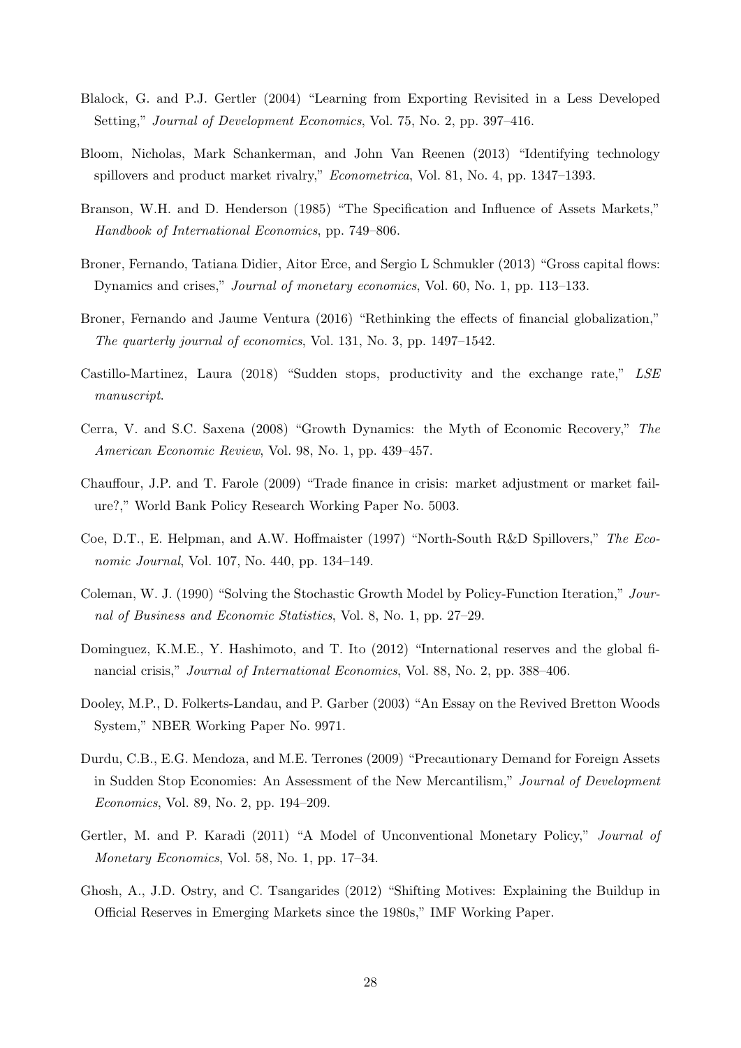- <span id="page-28-3"></span>Blalock, G. and P.J. Gertler (2004) "Learning from Exporting Revisited in a Less Developed Setting," Journal of Development Economics, Vol. 75, No. 2, pp. 397–416.
- <span id="page-28-6"></span>Bloom, Nicholas, Mark Schankerman, and John Van Reenen (2013) "Identifying technology spillovers and product market rivalry," Econometrica, Vol. 81, No. 4, pp. 1347–1393.
- <span id="page-28-12"></span>Branson, W.H. and D. Henderson (1985) "The Specification and Influence of Assets Markets," Handbook of International Economics, pp. 749–806.
- <span id="page-28-1"></span>Broner, Fernando, Tatiana Didier, Aitor Erce, and Sergio L Schmukler (2013) "Gross capital flows: Dynamics and crises," Journal of monetary economics, Vol. 60, No. 1, pp. 113–133.
- <span id="page-28-9"></span>Broner, Fernando and Jaume Ventura (2016) "Rethinking the effects of financial globalization," The quarterly journal of economics, Vol. 131, No. 3, pp. 1497–1542.
- <span id="page-28-13"></span>Castillo-Martinez, Laura (2018) "Sudden stops, productivity and the exchange rate," LSE manuscript.
- <span id="page-28-4"></span>Cerra, V. and S.C. Saxena (2008) "Growth Dynamics: the Myth of Economic Recovery," The American Economic Review, Vol. 98, No. 1, pp. 439–457.
- <span id="page-28-7"></span>Chauffour, J.P. and T. Farole (2009) "Trade finance in crisis: market adjustment or market failure?," World Bank Policy Research Working Paper No. 5003.
- <span id="page-28-2"></span>Coe, D.T., E. Helpman, and A.W. Hoffmaister (1997) "North-South R&D Spillovers," The Economic Journal, Vol. 107, No. 440, pp. 134–149.
- <span id="page-28-14"></span>Coleman, W. J. (1990) "Solving the Stochastic Growth Model by Policy-Function Iteration," Journal of Business and Economic Statistics, Vol. 8, No. 1, pp. 27–29.
- <span id="page-28-5"></span>Dominguez, K.M.E., Y. Hashimoto, and T. Ito (2012) "International reserves and the global financial crisis," Journal of International Economics, Vol. 88, No. 2, pp. 388–406.
- <span id="page-28-8"></span>Dooley, M.P., D. Folkerts-Landau, and P. Garber (2003) "An Essay on the Revived Bretton Woods System," NBER Working Paper No. 9971.
- <span id="page-28-10"></span>Durdu, C.B., E.G. Mendoza, and M.E. Terrones (2009) "Precautionary Demand for Foreign Assets in Sudden Stop Economies: An Assessment of the New Mercantilism," Journal of Development Economics, Vol. 89, No. 2, pp. 194–209.
- <span id="page-28-11"></span>Gertler, M. and P. Karadi (2011) "A Model of Unconventional Monetary Policy," Journal of Monetary Economics, Vol. 58, No. 1, pp. 17–34.
- <span id="page-28-0"></span>Ghosh, A., J.D. Ostry, and C. Tsangarides (2012) "Shifting Motives: Explaining the Buildup in Official Reserves in Emerging Markets since the 1980s," IMF Working Paper.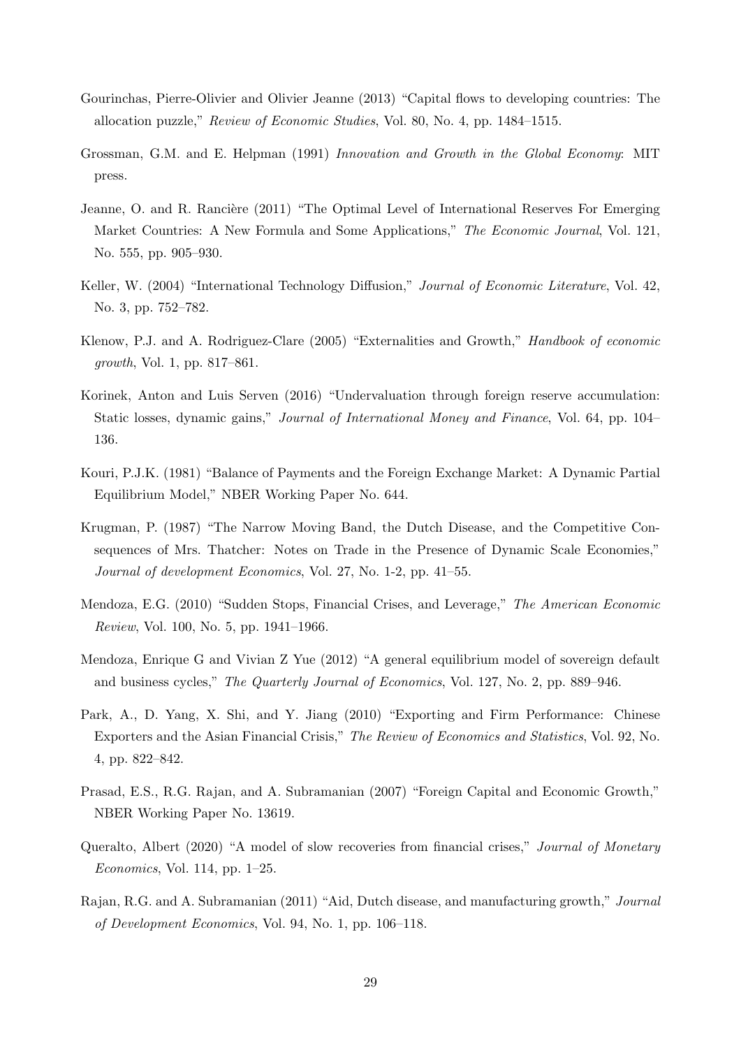- <span id="page-29-0"></span>Gourinchas, Pierre-Olivier and Olivier Jeanne (2013) "Capital flows to developing countries: The allocation puzzle," Review of Economic Studies, Vol. 80, No. 4, pp. 1484–1515.
- <span id="page-29-3"></span>Grossman, G.M. and E. Helpman (1991) Innovation and Growth in the Global Economy: MIT press.
- <span id="page-29-11"></span>Jeanne, O. and R. Rancière (2011) "The Optimal Level of International Reserves For Emerging Market Countries: A New Formula and Some Applications," The Economic Journal, Vol. 121, No. 555, pp. 905–930.
- <span id="page-29-5"></span>Keller, W. (2004) "International Technology Diffusion," Journal of Economic Literature, Vol. 42, No. 3, pp. 752–782.
- <span id="page-29-4"></span>Klenow, P.J. and A. Rodriguez-Clare (2005) "Externalities and Growth," Handbook of economic growth, Vol. 1, pp. 817–861.
- <span id="page-29-1"></span>Korinek, Anton and Luis Serven (2016) "Undervaluation through foreign reserve accumulation: Static losses, dynamic gains," Journal of International Money and Finance, Vol. 64, pp. 104– 136.
- <span id="page-29-12"></span>Kouri, P.J.K. (1981) "Balance of Payments and the Foreign Exchange Market: A Dynamic Partial Equilibrium Model," NBER Working Paper No. 644.
- <span id="page-29-7"></span>Krugman, P. (1987) "The Narrow Moving Band, the Dutch Disease, and the Competitive Consequences of Mrs. Thatcher: Notes on Trade in the Presence of Dynamic Scale Economies," Journal of development Economics, Vol. 27, No. 1-2, pp. 41–55.
- <span id="page-29-8"></span>Mendoza, E.G. (2010) "Sudden Stops, Financial Crises, and Leverage," The American Economic Review, Vol. 100, No. 5, pp. 1941–1966.
- <span id="page-29-9"></span>Mendoza, Enrique G and Vivian Z Yue (2012) "A general equilibrium model of sovereign default and business cycles," The Quarterly Journal of Economics, Vol. 127, No. 2, pp. 889–946.
- <span id="page-29-6"></span>Park, A., D. Yang, X. Shi, and Y. Jiang (2010) "Exporting and Firm Performance: Chinese Exporters and the Asian Financial Crisis," The Review of Economics and Statistics, Vol. 92, No. 4, pp. 822–842.
- <span id="page-29-10"></span>Prasad, E.S., R.G. Rajan, and A. Subramanian (2007) "Foreign Capital and Economic Growth," NBER Working Paper No. 13619.
- <span id="page-29-13"></span>Queralto, Albert (2020) "A model of slow recoveries from financial crises," Journal of Monetary Economics, Vol. 114, pp. 1–25.
- <span id="page-29-2"></span>Rajan, R.G. and A. Subramanian (2011) "Aid, Dutch disease, and manufacturing growth," Journal of Development Economics, Vol. 94, No. 1, pp. 106–118.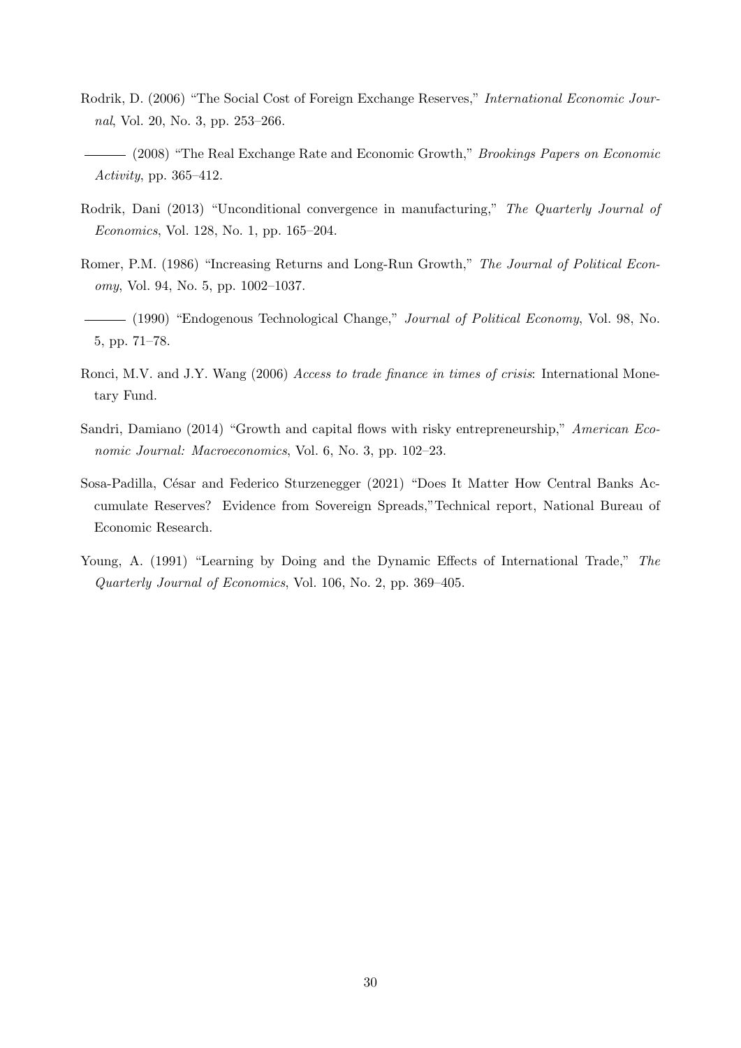- <span id="page-30-7"></span>Rodrik, D. (2006) "The Social Cost of Foreign Exchange Reserves," International Economic Journal, Vol. 20, No. 3, pp. 253–266.
- <span id="page-30-0"></span>(2008) "The Real Exchange Rate and Economic Growth," Brookings Papers on Economic Activity, pp. 365–412.
- <span id="page-30-1"></span>Rodrik, Dani (2013) "Unconditional convergence in manufacturing," The Quarterly Journal of Economics, Vol. 128, No. 1, pp. 165–204.
- <span id="page-30-3"></span>Romer, P.M. (1986) "Increasing Returns and Long-Run Growth," The Journal of Political Economy, Vol. 94, No. 5, pp. 1002–1037.
- <span id="page-30-4"></span>(1990) "Endogenous Technological Change," *Journal of Political Economy*, Vol. 98, No. 5, pp. 71–78.
- <span id="page-30-5"></span>Ronci, M.V. and J.Y. Wang (2006) Access to trade finance in times of crisis: International Monetary Fund.
- <span id="page-30-6"></span>Sandri, Damiano (2014) "Growth and capital flows with risky entrepreneurship," American Economic Journal: Macroeconomics, Vol. 6, No. 3, pp. 102–23.
- <span id="page-30-8"></span>Sosa-Padilla, César and Federico Sturzenegger (2021) "Does It Matter How Central Banks Accumulate Reserves? Evidence from Sovereign Spreads,"Technical report, National Bureau of Economic Research.
- <span id="page-30-2"></span>Young, A. (1991) "Learning by Doing and the Dynamic Effects of International Trade," The Quarterly Journal of Economics, Vol. 106, No. 2, pp. 369–405.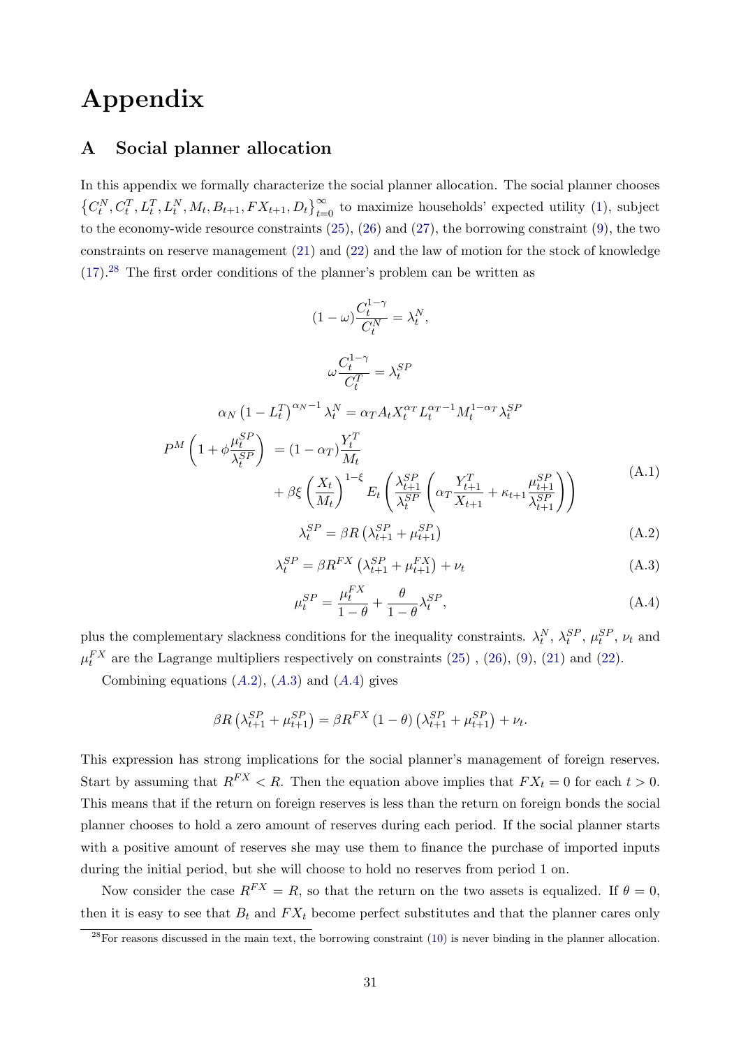# Appendix

## <span id="page-31-0"></span>A Social planner allocation

In this appendix we formally characterize the social planner allocation. The social planner chooses  $\left\{C_t^N, C_t^T, L_t^T, L_t^N, M_t, B_{t+1}, FX_{t+1}, D_t\right\}_{t=0}^{\infty}$  to maximize households' expected utility [\(1\)](#page-7-0), subject to the economy-wide resource constraints [\(25\)](#page-12-0), [\(26\)](#page-12-3) and [\(27\)](#page-12-2), the borrowing constraint [\(9\)](#page-9-1), the two constraints on reserve management [\(21\)](#page-11-2) and [\(22\)](#page-11-3) and the law of motion for the stock of knowledge  $(17).<sup>28</sup>$  $(17).<sup>28</sup>$  $(17).<sup>28</sup>$  $(17).<sup>28</sup>$  The first order conditions of the planner's problem can be written as

$$
(1 - \omega) \frac{C_t^{1-\gamma}}{C_t^N} = \lambda_t^N,
$$
  
\n
$$
\omega \frac{C_t^{1-\gamma}}{C_t^T} = \lambda_t^{SP}
$$
  
\n
$$
\alpha_N (1 - L_t^T)^{\alpha_N - 1} \lambda_t^N = \alpha_T A_t X_t^{\alpha_T} L_t^{\alpha_T - 1} M_t^{1 - \alpha_T} \lambda_t^{SP}
$$
  
\n
$$
P^M \left( 1 + \phi \frac{\mu_t^{SP}}{\lambda_t^{SP}} \right) = (1 - \alpha_T) \frac{Y_t^T}{M_t}
$$
  
\n
$$
+ \beta \xi \left( \frac{X_t}{M_t} \right)^{1 - \xi} E_t \left( \frac{\lambda_{t+1}^{SP}}{\lambda_t^{SP}} \left( \alpha_T \frac{Y_{t+1}^T}{X_{t+1}} + \kappa_{t+1} \frac{\mu_{t+1}^{SP}}{\lambda_{t+1}^{SP}} \right) \right)
$$
  
\n
$$
\lambda_t^{SP} = \beta R \left( \lambda_{t+1}^{SP} + \mu_{t+1}^{SP} \right) \tag{A.2}
$$

<span id="page-31-3"></span><span id="page-31-2"></span>
$$
\lambda_t^{SP} = \beta R^{FX} \left( \lambda_{t+1}^{SP} + \mu_{t+1}^{FX} \right) + \nu_t \tag{A.3}
$$

<span id="page-31-4"></span>
$$
\mu_t^{SP} = \frac{\mu_t^{FX}}{1 - \theta} + \frac{\theta}{1 - \theta} \lambda_t^{SP},\tag{A.4}
$$

<span id="page-31-5"></span>plus the complementary slackness conditions for the inequality constraints.  $\lambda_t^N$ ,  $\lambda_t^{SP}$ ,  $\mu_t^{SP}$ ,  $\nu_t$  and  $\mu_t^{FX}$  are the Lagrange multipliers respectively on constraints [\(25\)](#page-12-0), [\(26\)](#page-12-3), [\(9\)](#page-9-1), [\(21\)](#page-11-2) and [\(22\)](#page-11-3).

Combining equations  $(A.2)$  $(A.2)$  $(A.2)$ ,  $(A.3)$  and  $(A.4)$  gives

$$
\beta R\left(\lambda_{t+1}^{SP} + \mu_{t+1}^{SP}\right) = \beta R^{FX} \left(1 - \theta\right) \left(\lambda_{t+1}^{SP} + \mu_{t+1}^{SP}\right) + \nu_t.
$$

This expression has strong implications for the social planner's management of foreign reserves. Start by assuming that  $R^{FX} < R$ . Then the equation above implies that  $FX_t = 0$  for each  $t > 0$ . This means that if the return on foreign reserves is less than the return on foreign bonds the social planner chooses to hold a zero amount of reserves during each period. If the social planner starts with a positive amount of reserves she may use them to finance the purchase of imported inputs during the initial period, but she will choose to hold no reserves from period 1 on.

Now consider the case  $R^{FX} = R$ , so that the return on the two assets is equalized. If  $\theta = 0$ , then it is easy to see that  $B_t$  and  $FX_t$  become perfect substitutes and that the planner cares only

<span id="page-31-1"></span> $28$ For reasons discussed in the main text, the borrowing constraint [\(10\)](#page-9-3) is never binding in the planner allocation.